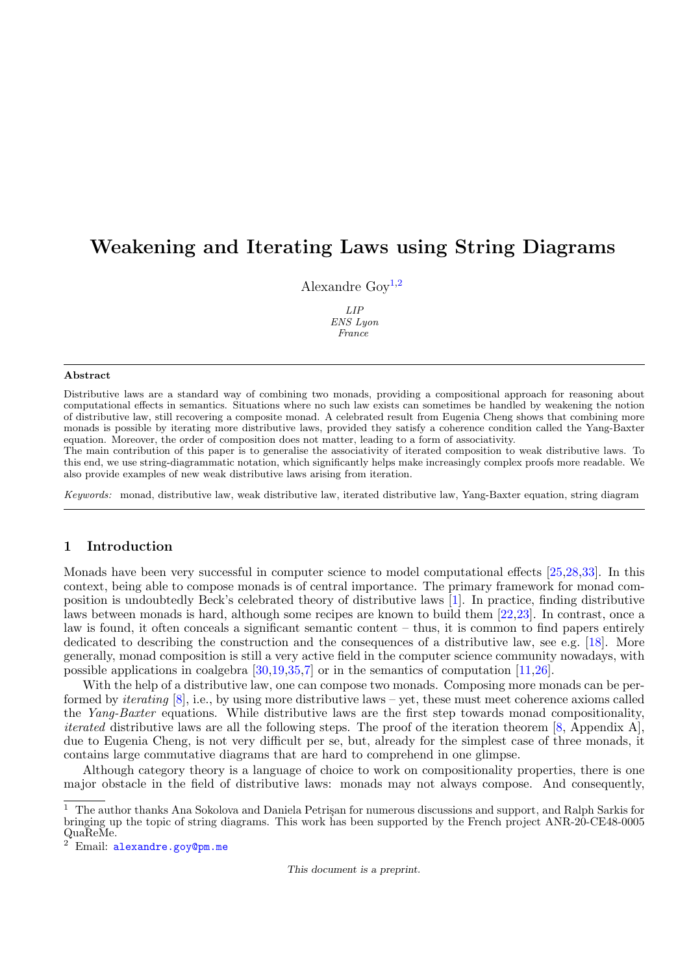# Weakening and Iterating Laws using String Diagrams

Alexandre Goy<sup>[1](#page-0-0),[2](#page-0-0)</sup>

LIP ENS Lyon France

#### <span id="page-0-0"></span>Abstract

Distributive laws are a standard way of combining two monads, providing a compositional approach for reasoning about computational effects in semantics. Situations where no such law exists can sometimes be handled by weakening the notion of distributive law, still recovering a composite monad. A celebrated result from Eugenia Cheng shows that combining more monads is possible by iterating more distributive laws, provided they satisfy a coherence condition called the Yang-Baxter equation. Moreover, the order of composition does not matter, leading to a form of associativity.

The main contribution of this paper is to generalise the associativity of iterated composition to weak distributive laws. To this end, we use string-diagrammatic notation, which significantly helps make increasingly complex proofs more readable. We also provide examples of new weak distributive laws arising from iteration.

Keywords: monad, distributive law, weak distributive law, iterated distributive law, Yang-Baxter equation, string diagram

## 1 Introduction

Monads have been very successful in computer science to model computational effects [\[25,](#page-16-0)[28,](#page-16-1)[33\]](#page-16-2). In this context, being able to compose monads is of central importance. The primary framework for monad composition is undoubtedly Beck's celebrated theory of distributive laws [\[1\]](#page-15-0). In practice, finding distributive laws between monads is hard, although some recipes are known to build them [\[22,](#page-16-3)[23\]](#page-16-4). In contrast, once a law is found, it often conceals a significant semantic content – thus, it is common to find papers entirely dedicated to describing the construction and the consequences of a distributive law, see e.g. [\[18\]](#page-15-1). More generally, monad composition is still a very active field in the computer science community nowadays, with possible applications in coalgebra [\[30,](#page-16-5)[19,](#page-15-2)[35,](#page-16-6)[7\]](#page-15-3) or in the semantics of computation [\[11](#page-15-4)[,26\]](#page-16-7).

With the help of a distributive law, one can compose two monads. Composing more monads can be performed by *iterating*  $[8]$ , i.e., by using more distributive laws – yet, these must meet coherence axioms called the Yang-Baxter equations. While distributive laws are the first step towards monad compositionality, *iterated* distributive laws are all the following steps. The proof of the iteration theorem  $[8,$  Appendix A], due to Eugenia Cheng, is not very difficult per se, but, already for the simplest case of three monads, it contains large commutative diagrams that are hard to comprehend in one glimpse.

Although category theory is a language of choice to work on compositionality properties, there is one major obstacle in the field of distributive laws: monads may not always compose. And consequently,

This document is a preprint.

 $^{\rm 1}~$  The author thanks Ana Sokolova and Daniela Petrişan for numerous discussions and support, and Ralph Sarkis for bringing up the topic of string diagrams. This work has been supported by the French project ANR-20-CE48-0005 QuaReMe.

Email: [alexandre.goy@pm.me](mailto:alexandre.goy@pm.me)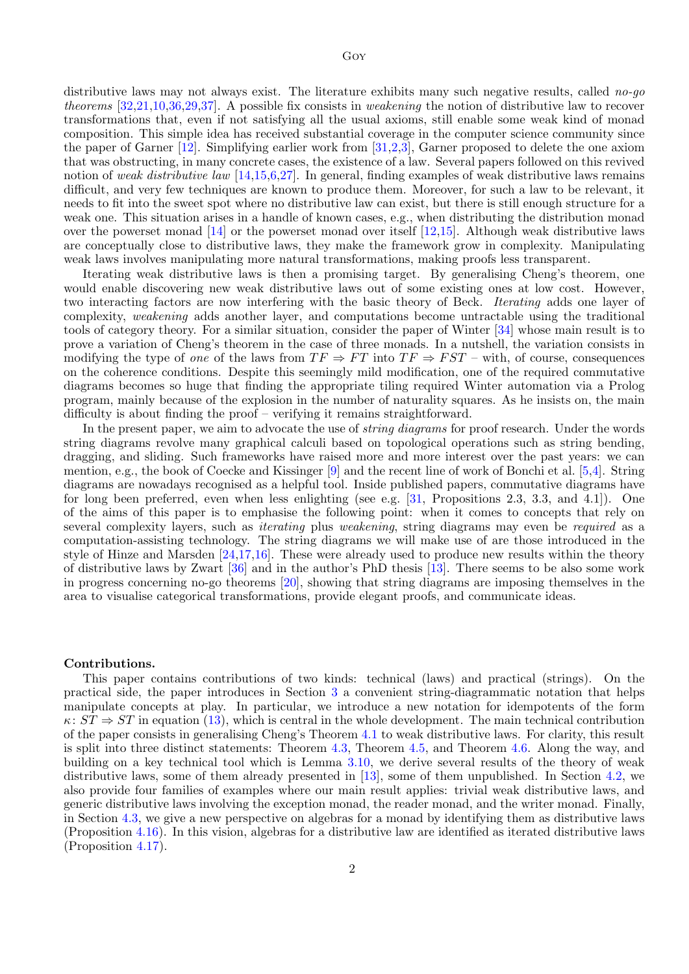distributive laws may not always exist. The literature exhibits many such negative results, called no-go theorems [\[32](#page-16-8)[,21,](#page-16-9)[10,](#page-15-6)[36,](#page-16-10)[29,](#page-16-11)[37\]](#page-16-12). A possible fix consists in weakening the notion of distributive law to recover transformations that, even if not satisfying all the usual axioms, still enable some weak kind of monad composition. This simple idea has received substantial coverage in the computer science community since the paper of Garner [\[12\]](#page-15-7). Simplifying earlier work from [\[31](#page-16-13)[,2,](#page-15-8)[3\]](#page-15-9), Garner proposed to delete the one axiom that was obstructing, in many concrete cases, the existence of a law. Several papers followed on this revived notion of weak distributive law  $[14,15,6,27]$  $[14,15,6,27]$  $[14,15,6,27]$  $[14,15,6,27]$ . In general, finding examples of weak distributive laws remains difficult, and very few techniques are known to produce them. Moreover, for such a law to be relevant, it needs to fit into the sweet spot where no distributive law can exist, but there is still enough structure for a weak one. This situation arises in a handle of known cases, e.g., when distributing the distribution monad over the powerset monad [\[14\]](#page-15-10) or the powerset monad over itself [\[12](#page-15-7)[,15\]](#page-15-11). Although weak distributive laws are conceptually close to distributive laws, they make the framework grow in complexity. Manipulating weak laws involves manipulating more natural transformations, making proofs less transparent.

Iterating weak distributive laws is then a promising target. By generalising Cheng's theorem, one would enable discovering new weak distributive laws out of some existing ones at low cost. However, two interacting factors are now interfering with the basic theory of Beck. Iterating adds one layer of complexity, weakening adds another layer, and computations become untractable using the traditional tools of category theory. For a similar situation, consider the paper of Winter [\[34\]](#page-16-15) whose main result is to prove a variation of Cheng's theorem in the case of three monads. In a nutshell, the variation consists in modifying the type of one of the laws from  $TF \Rightarrow FT$  into  $TF \Rightarrow FST$  – with, of course, consequences on the coherence conditions. Despite this seemingly mild modification, one of the required commutative diagrams becomes so huge that finding the appropriate tiling required Winter automation via a Prolog program, mainly because of the explosion in the number of naturality squares. As he insists on, the main difficulty is about finding the proof – verifying it remains straightforward.

In the present paper, we aim to advocate the use of *string diagrams* for proof research. Under the words string diagrams revolve many graphical calculi based on topological operations such as string bending, dragging, and sliding. Such frameworks have raised more and more interest over the past years: we can mention, e.g., the book of Coecke and Kissinger [\[9\]](#page-15-13) and the recent line of work of Bonchi et al. [\[5,](#page-15-14)[4\]](#page-15-15). String diagrams are nowadays recognised as a helpful tool. Inside published papers, commutative diagrams have for long been preferred, even when less enlighting (see e.g.  $[31,$  Propositions 2.3, 3.3, and 4.1]). One of the aims of this paper is to emphasise the following point: when it comes to concepts that rely on several complexity layers, such as *iterating* plus *weakening*, string diagrams may even be *required* as a computation-assisting technology. The string diagrams we will make use of are those introduced in the style of Hinze and Marsden [\[24](#page-16-16)[,17](#page-15-16)[,16\]](#page-15-17). These were already used to produce new results within the theory of distributive laws by Zwart [\[36\]](#page-16-10) and in the author's PhD thesis [\[13\]](#page-15-18). There seems to be also some work in progress concerning no-go theorems [\[20\]](#page-16-17), showing that string diagrams are imposing themselves in the area to visualise categorical transformations, provide elegant proofs, and communicate ideas.

#### Contributions.

This paper contains contributions of two kinds: technical (laws) and practical (strings). On the practical side, the paper introduces in Section [3](#page-4-0) a convenient string-diagrammatic notation that helps manipulate concepts at play. In particular, we introduce a new notation for idempotents of the form  $\kappa: ST \Rightarrow ST$  in equation [\(13\)](#page-6-0), which is central in the whole development. The main technical contribution of the paper consists in generalising Cheng's Theorem [4.1](#page-8-0) to weak distributive laws. For clarity, this result is split into three distinct statements: Theorem [4.3,](#page-9-0) Theorem [4.5,](#page-10-0) and Theorem [4.6.](#page-11-0) Along the way, and building on a key technical tool which is Lemma [3.10,](#page-5-0) we derive several results of the theory of weak distributive laws, some of them already presented in [\[13\]](#page-15-18), some of them unpublished. In Section [4.2,](#page-12-0) we also provide four families of examples where our main result applies: trivial weak distributive laws, and generic distributive laws involving the exception monad, the reader monad, and the writer monad. Finally, in Section [4.3,](#page-13-0) we give a new perspective on algebras for a monad by identifying them as distributive laws (Proposition [4.16\)](#page-13-1). In this vision, algebras for a distributive law are identified as iterated distributive laws (Proposition [4.17\)](#page-14-0).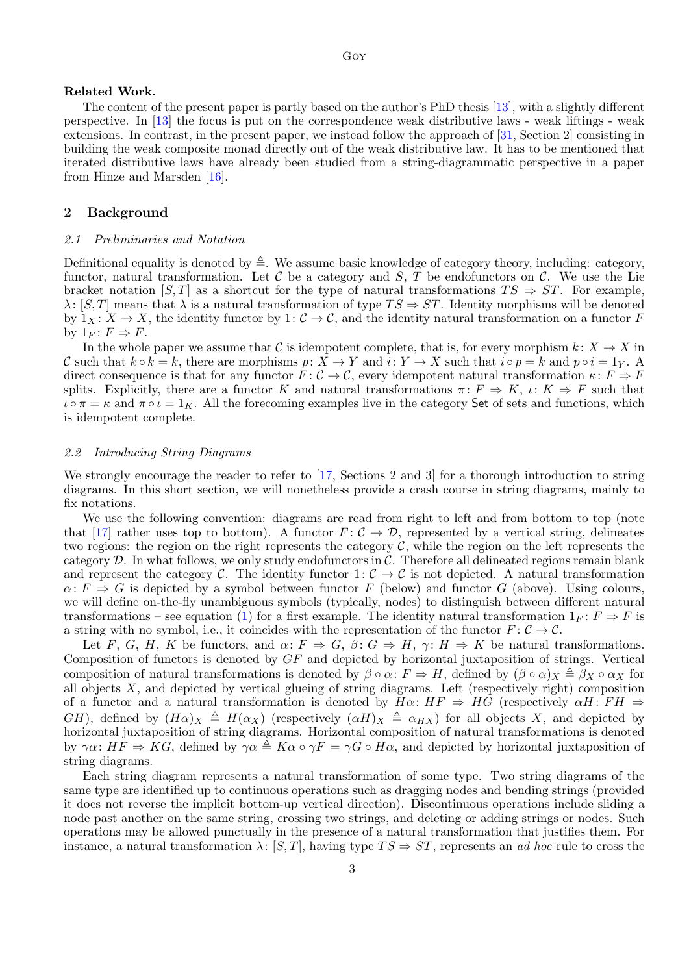#### Related Work.

The content of the present paper is partly based on the author's PhD thesis [\[13\]](#page-15-18), with a slightly different perspective. In [\[13\]](#page-15-18) the focus is put on the correspondence weak distributive laws - weak liftings - weak extensions. In contrast, in the present paper, we instead follow the approach of [\[31,](#page-16-13) Section 2] consisting in building the weak composite monad directly out of the weak distributive law. It has to be mentioned that iterated distributive laws have already been studied from a string-diagrammatic perspective in a paper from Hinze and Marsden [\[16\]](#page-15-17).

#### <span id="page-2-0"></span>2 Background

#### 2.1 Preliminaries and Notation

Definitional equality is denoted by  $\triangleq$ . We assume basic knowledge of category theory, including: category, functor, natural transformation. Let  $C$  be a category and  $S$ ,  $T$  be endofunctors on  $C$ . We use the Lie bracket notation [S, T] as a shortcut for the type of natural transformations  $TS \Rightarrow ST$ . For example,  $\lambda: [S, T]$  means that  $\lambda$  is a natural transformation of type  $TS \Rightarrow ST$ . Identity morphisms will be denoted by  $1_X: X \to X$ , the identity functor by  $1: \mathcal{C} \to \mathcal{C}$ , and the identity natural transformation on a functor F by  $1_F: F \Rightarrow F$ .

In the whole paper we assume that C is idempotent complete, that is, for every morphism  $k: X \to X$  in C such that  $k \circ k = k$ , there are morphisms  $p: X \to Y$  and  $i: Y \to X$  such that  $i \circ p = k$  and  $p \circ i = 1_Y$ . A direct consequence is that for any functor  $\tilde{F}$ :  $\mathcal{C} \to \mathcal{C}$ , every idempotent natural transformation  $\kappa$ :  $F \Rightarrow F$ splits. Explicitly, there are a functor K and natural transformations  $\pi: F \Rightarrow K$ ,  $\iota: K \Rightarrow F$  such that  $\iota \circ \pi = \kappa$  and  $\pi \circ \iota = 1_K$ . All the forecoming examples live in the category Set of sets and functions, which is idempotent complete.

#### 2.2 Introducing String Diagrams

We strongly encourage the reader to refer to [\[17,](#page-15-16) Sections 2 and 3] for a thorough introduction to string diagrams. In this short section, we will nonetheless provide a crash course in string diagrams, mainly to fix notations.

We use the following convention: diagrams are read from right to left and from bottom to top (note that [\[17\]](#page-15-16) rather uses top to bottom). A functor  $F: \mathcal{C} \to \mathcal{D}$ , represented by a vertical string, delineates two regions: the region on the right represents the category  $\mathcal{C}$ , while the region on the left represents the category  $D$ . In what follows, we only study endofunctors in  $C$ . Therefore all delineated regions remain blank and represent the category C. The identity functor  $1: \mathcal{C} \to \mathcal{C}$  is not depicted. A natural transformation  $\alpha: F \Rightarrow G$  is depicted by a symbol between functor F (below) and functor G (above). Using colours, we will define on-the-fly unambiguous symbols (typically, nodes) to distinguish between different natural transformations – see equation [\(1\)](#page-3-0) for a first example. The identity natural transformation  $1_F : F \Rightarrow F$  is a string with no symbol, i.e., it coincides with the representation of the functor  $F: \mathcal{C} \to \mathcal{C}$ .

Let F, G, H, K be functors, and  $\alpha: F \Rightarrow G, \beta: G \Rightarrow H, \gamma: H \Rightarrow K$  be natural transformations. Composition of functors is denoted by GF and depicted by horizontal juxtaposition of strings. Vertical composition of natural transformations is denoted by  $\beta \circ \alpha \colon F \Rightarrow H$ , defined by  $(\beta \circ \alpha)_X \triangleq \beta_X \circ \alpha_X$  for all objects  $X$ , and depicted by vertical glueing of string diagrams. Left (respectively right) composition of a functor and a natural transformation is denoted by  $H\alpha$ :  $HF \Rightarrow HG$  (respectively  $\alpha H$ :  $FH \Rightarrow$ GH), defined by  $(H\alpha)_X \triangleq H(\alpha_X)$  (respectively  $(\alpha H)_X \triangleq \alpha_{HX}$ ) for all objects X, and depicted by horizontal juxtaposition of string diagrams. Horizontal composition of natural transformations is denoted by  $\gamma \alpha$ :  $HF \Rightarrow KG$ , defined by  $\gamma \alpha \triangleq K \alpha \circ \gamma F = \gamma G \circ H \alpha$ , and depicted by horizontal juxtaposition of string diagrams.

Each string diagram represents a natural transformation of some type. Two string diagrams of the same type are identified up to continuous operations such as dragging nodes and bending strings (provided it does not reverse the implicit bottom-up vertical direction). Discontinuous operations include sliding a node past another on the same string, crossing two strings, and deleting or adding strings or nodes. Such operations may be allowed punctually in the presence of a natural transformation that justifies them. For instance, a natural transformation  $\lambda: [S, T]$ , having type  $TS \Rightarrow ST$ , represents an *ad hoc* rule to cross the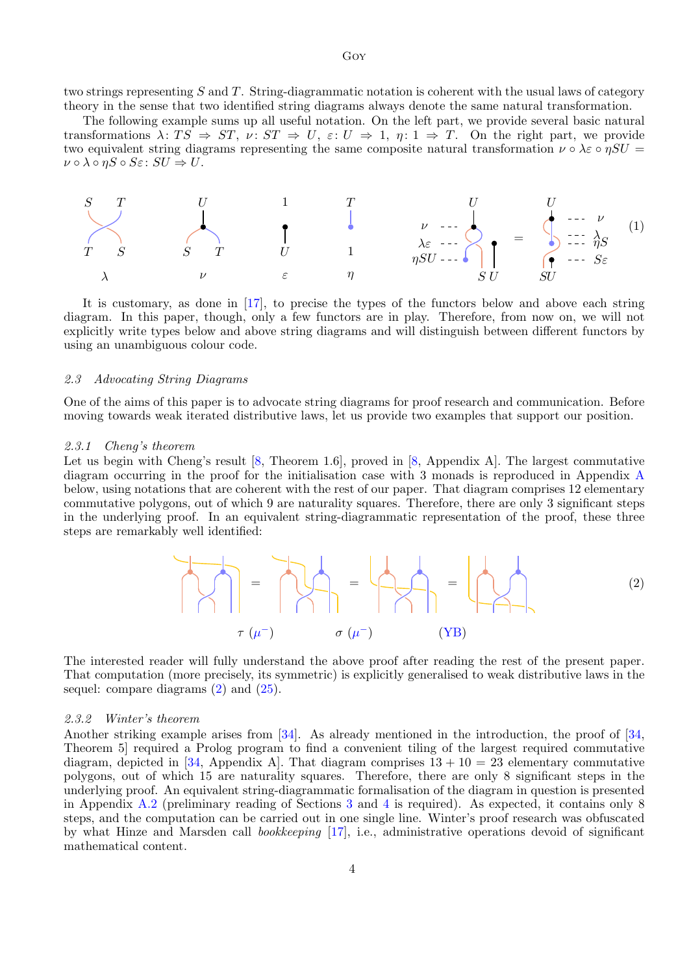two strings representing  $S$  and  $T$ . String-diagrammatic notation is coherent with the usual laws of category theory in the sense that two identified string diagrams always denote the same natural transformation.

The following example sums up all useful notation. On the left part, we provide several basic natural transformations  $\lambda: TS \Rightarrow ST, \nu: ST \Rightarrow U, \varepsilon: U \Rightarrow 1, \eta: 1 \Rightarrow T$ . On the right part, we provide two equivalent string diagrams representing the same composite natural transformation  $\nu \circ \lambda \varepsilon \circ \eta SU =$  $\nu \circ \lambda \circ \eta S \circ S \varepsilon \colon SU \Rightarrow U.$ 

<span id="page-3-0"></span>

It is customary, as done in [\[17\]](#page-15-16), to precise the types of the functors below and above each string diagram. In this paper, though, only a few functors are in play. Therefore, from now on, we will not explicitly write types below and above string diagrams and will distinguish between different functors by using an unambiguous colour code.

#### 2.3 Advocating String Diagrams

One of the aims of this paper is to advocate string diagrams for proof research and communication. Before moving towards weak iterated distributive laws, let us provide two examples that support our position.

#### <span id="page-3-2"></span>2.3.1 Cheng's theorem

Let us begin with Cheng's result [\[8,](#page-15-5) Theorem 1.6], proved in [8, Appendix A]. The largest commutative diagram occurring in the proof for the initialisation case with 3 monads is reproduced in Appendix [A](#page-17-0) below, using notations that are coherent with the rest of our paper. That diagram comprises 12 elementary commutative polygons, out of which 9 are naturality squares. Therefore, there are only 3 significant steps in the underlying proof. In an equivalent string-diagrammatic representation of the proof, these three steps are remarkably well identified:

<span id="page-3-1"></span>
$$
\begin{pmatrix}\n\cdot & \cdot & \cdot \\
\cdot & \cdot & \cdot \\
\cdot & \cdot & \cdot\n\end{pmatrix} = \begin{pmatrix}\n\cdot & \cdot & \cdot \\
\cdot & \cdot & \cdot \\
\cdot & \cdot & \cdot\n\end{pmatrix} = \begin{pmatrix}\n\cdot & \cdot & \cdot \\
\cdot & \cdot & \cdot \\
\cdot & \cdot & \cdot\n\end{pmatrix} = \begin{pmatrix}\n\cdot & \cdot & \cdot \\
\cdot & \cdot & \cdot \\
\cdot & \cdot & \cdot\n\end{pmatrix}
$$
 (2)

The interested reader will fully understand the above proof after reading the rest of the present paper. That computation (more precisely, its symmetric) is explicitly generalised to weak distributive laws in the sequel: compare diagrams  $(2)$  and  $(25)$ .

#### 2.3.2 Winter's theorem

Another striking example arises from [\[34\]](#page-16-15). As already mentioned in the introduction, the proof of [\[34,](#page-16-15) Theorem 5] required a Prolog program to find a convenient tiling of the largest required commutative diagram, depicted in [\[34,](#page-16-15) Appendix A]. That diagram comprises  $13 + 10 = 23$  elementary commutative polygons, out of which 15 are naturality squares. Therefore, there are only 8 significant steps in the underlying proof. An equivalent string-diagrammatic formalisation of the diagram in question is presented in Appendix [A.2](#page-17-1) (preliminary reading of Sections [3](#page-4-0) and [4](#page-7-0) is required). As expected, it contains only 8 steps, and the computation can be carried out in one single line. Winter's proof research was obfuscated by what Hinze and Marsden call bookkeeping [\[17\]](#page-15-16), i.e., administrative operations devoid of significant mathematical content.

4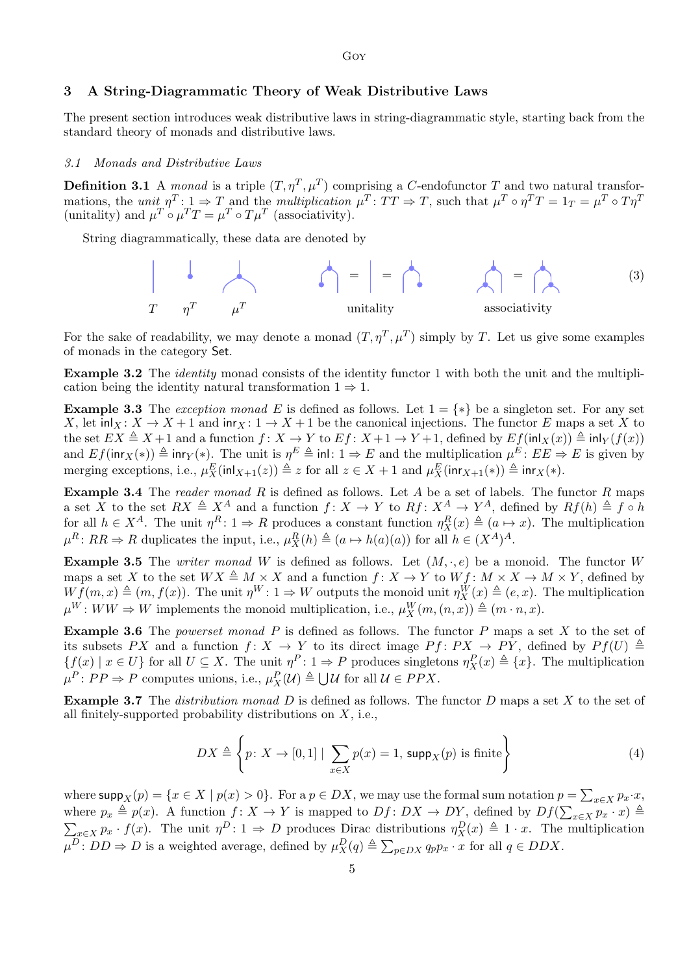Goy

## <span id="page-4-0"></span>3 A String-Diagrammatic Theory of Weak Distributive Laws

The present section introduces weak distributive laws in string-diagrammatic style, starting back from the standard theory of monads and distributive laws.

#### 3.1 Monads and Distributive Laws

**Definition 3.1** A monad is a triple  $(T, \eta^T, \mu^T)$  comprising a C-endofunctor T and two natural transformations, the unit  $\eta^T: \mathbf{1} \to T$  and the multiplication  $\mu^T: TT \to T$ , such that  $\mu^T \circ \eta^T T = 1_T = \mu^T \circ T \eta^T$ (unitality) and  $\mu^T \circ \mu^T T = \mu^T \circ T \mu^T$  (associativity).

String diagrammatically, these data are denoted by



For the sake of readability, we may denote a monad  $(T, \eta^T, \mu^T)$  simply by T. Let us give some examples of monads in the category Set.

<span id="page-4-2"></span>Example 3.2 The *identity* monad consists of the identity functor 1 with both the unit and the multiplication being the identity natural transformation  $1 \Rightarrow 1$ .

<span id="page-4-3"></span>**Example 3.3** The exception monad E is defined as follows. Let  $1 = \{*\}$  be a singleton set. For any set X, let  $\text{inl}_X : X \to X + 1$  and  $\text{inr}_X : 1 \to X + 1$  be the canonical injections. The functor E maps a set X to the set  $EX \triangleq X + 1$  and a function  $f: X \to Y$  to  $Ef: X + 1 \to Y + 1$ , defined by  $Ef(\text{inl}_X(x)) \triangleq \text{inl}_Y(f(x))$ and  $Ef(\mathsf{inr}_X(*)) \triangleq \mathsf{inr}_Y(*)$ . The unit is  $\eta^E \triangleq \mathsf{inl}: 1 \Rightarrow E$  and the multiplication  $\mu^E : EE \Rightarrow E$  is given by merging exceptions, i.e.,  $\mu_X^E(\text{inl}_{X+1}(z)) \triangleq z$  for all  $z \in X + 1$  and  $\mu_X^E(\text{inr}_{X+1}(*) \triangleq \text{inr}_X(*)$ .

**Example 3.4** The reader monad R is defined as follows. Let A be a set of labels. The functor R maps a set X to the set  $RX \triangleq X^A$  and a function  $f: X \to Y$  to  $Rf: X^A \to Y^A$ , defined by  $Rf(h) \triangleq f \circ h$ for all  $h \in X^A$ . The unit  $\eta^R: 1 \Rightarrow R$  produces a constant function  $\eta^R_X(x) \triangleq (a \mapsto x)$ . The multiplication  $\mu^R: RR \Rightarrow R$  duplicates the input, i.e.,  $\mu^R_X(h) \triangleq (a \mapsto h(a)(a))$  for all  $h \in (X^A)^A$ .

**Example 3.5** The *writer monad* W is defined as follows. Let  $(M, \cdot, e)$  be a monoid. The functor W maps a set X to the set  $WX \triangleq M \times X$  and a function  $f: X \to Y$  to  $Wf: M \times X \to M \times Y$ , defined by  $W f(m, x) \triangleq (m, f(x))$ . The unit  $\eta^W : 1 \Rightarrow W$  outputs the monoid unit  $\eta^W_X(x) \triangleq (e, x)$ . The multiplication  $\mu^W: WW \Rightarrow W$  implements the monoid multiplication, i.e.,  $\mu_X^W(m,(n,\overline{x})) \triangleq (m \cdot n, x)$ .

**Example 3.6** The *powerset monad*  $P$  is defined as follows. The functor  $P$  maps a set  $X$  to the set of its subsets PX and a function  $f: X \to Y$  to its direct image  $Pf: PX \to PY$ , defined by  $Pf(U) \triangleq$  $\{f(x) \mid x \in U\}$  for all  $U \subseteq X$ . The unit  $\eta^P: 1 \Rightarrow P$  produces singletons  $\eta^P_X(x) \triangleq \{x\}$ . The multiplication  $\mu^P \colon PP \Rightarrow P$  computes unions, i.e.,  $\mu_X^P(\mathcal{U}) \triangleq \bigcup \mathcal{U}$  for all  $\mathcal{U} \in PPX$ .

**Example 3.7** The *distribution monad*  $D$  is defined as follows. The functor  $D$  maps a set  $X$  to the set of all finitely-supported probability distributions on  $X$ , i.e.,

$$
DX \triangleq \left\{ p \colon X \to [0,1] \mid \sum_{x \in X} p(x) = 1, \, \text{supp}_X(p) \text{ is finite} \right\}
$$
 (4)

<span id="page-4-1"></span>where  $\textsf{supp}_X(p) = \{x \in X \mid p(x) > 0\}$ . For a  $p \in DX$ , we may use the formal sum notation  $p = \sum_{x \in X} p_x \cdot x$ , where  $p_x \triangleq p(x)$ . A function  $f: X \to Y$  is mapped to  $Df: DX \to DY$ , defined by  $Df(\sum_{x \in X} p_x \cdot x) \triangleq$  $\sum_{x\in X} p_x \cdot f(x)$ . The unit  $\eta^D: 1 \Rightarrow D$  produces Dirac distributions  $\eta^D_X(x) \triangleq 1 \cdot x$ . The multiplication  $\mu^D: DD \Rightarrow D$  is a weighted average, defined by  $\mu_X^D(q) \triangleq \sum_{p \in DX} q_p p_x \cdot x$  for all  $q \in DDX$ .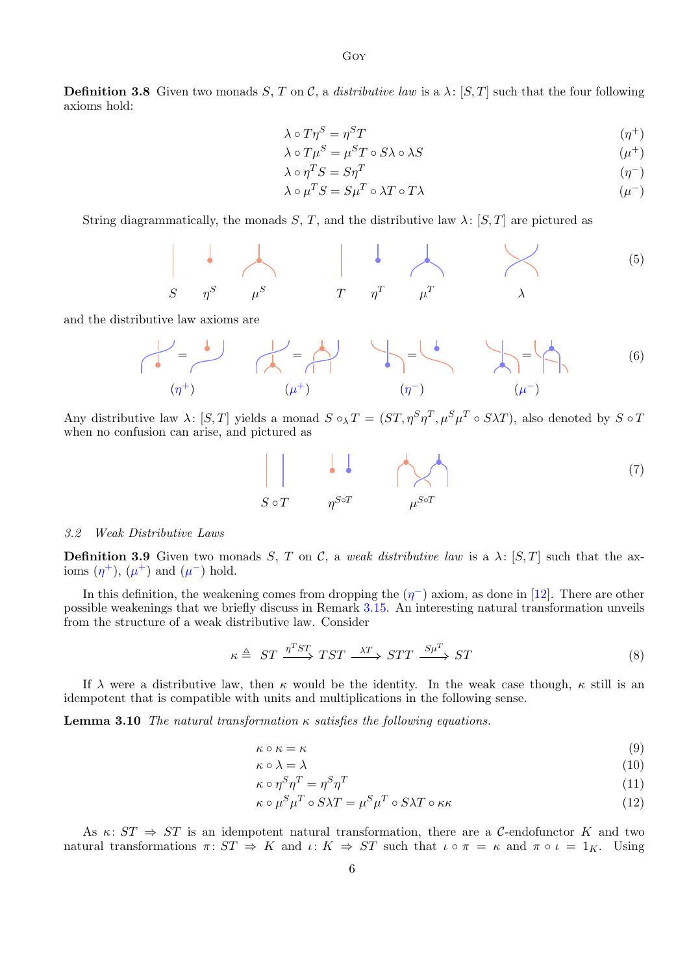**Definition 3.8** Given two monads  $S, T$  on  $\mathcal{C}$ , a *distributive law* is a  $\lambda$ :  $[S, T]$  such that the four following axioms hold:

$$
\lambda \circ T\eta^S = \eta^S T \tag{1}
$$

$$
\lambda \circ T\mu^S = \mu^S T \circ S\lambda \circ \lambda S \tag{1}
$$

$$
\lambda \circ \eta^T S = S \eta^T \tag{1}
$$

$$
\lambda \circ \mu^T S = S \mu^T \circ \lambda T \circ T \lambda \tag{1}
$$

String diagrammatically, the monads S, T, and the distributive law  $\lambda$ : [S, T] are pictured as

$$
\begin{array}{c|c}\n\cdot & \cdot & \cdot & \cdot \\
\hline\nS & \eta^S & \mu^S & T & \eta^T & \mu^T & \lambda\n\end{array} \tag{5}
$$

and the distributive law axioms are

$$
\begin{array}{|c|c|c|c|}\n\hline\n\end{array}\n\qquad\n\begin{array}{c}\n\hline\n\end{array}\n\qquad\n\begin{array}{c}\n\hline\n\end{array}\n\qquad\n\begin{array}{c}\n\hline\n\end{array}\n\qquad\n\begin{array}{c}\n\hline\n\end{array}\n\qquad\n\begin{array}{c}\n\hline\n\end{array}\n\qquad\n\begin{array}{c}\n\hline\n\end{array}\n\qquad\n\begin{array}{c}\n\hline\n\end{array}\n\qquad\n\begin{array}{c}\n\hline\n\end{array}\n\qquad\n\begin{array}{c}\n\hline\n\end{array}\n\qquad\n\begin{array}{c}\n\hline\n\end{array}\n\qquad\n\begin{array}{c}\n\hline\n\end{array}\n\qquad\n\begin{array}{c}\n\hline\n\end{array}\n\qquad\n\end{array}\n\qquad\n\begin{array}{c}\n\hline\n\end{array}\n\qquad\n\begin{array}{c}\n\hline\n\end{array}\n\qquad\n\begin{array}{c}\n\hline\n\end{array}\n\qquad\n\begin{array}{c}\n\hline\n\end{array}\n\qquad\n\end{array}\n\qquad\n\begin{array}{c}\n\hline\n\end{array}\n\qquad\n\begin{array}{c}\n\hline\n\end{array}\n\qquad\n\begin{array}{c}\n\hline\n\end{array}\n\qquad\n\end{array}\n\qquad\n\begin{array}{c}\n\hline\n\end{array}\n\qquad\n\begin{array}{c}\n\hline\n\end{array}\n\qquad\n\begin{array}{c}\n\hline\n\end{array}\n\qquad\n\end{array}\n\qquad\n\begin{array}{c}\n\hline\n\end{array}\n\qquad\n\begin{array}{c}\n\hline\n\end{array}\n\qquad\n\begin{array}{c}\n\hline\n\end{array}\n\qquad\n\end{array}\n\qquad\n\begin{array}{c}\n\hline\n\end{array}\n\qquad\n\begin{array}{c}\n\hline\n\end{array}\n\qquad\n\end{array}\n\qquad\n\begin{array}{c}\n\hline\n\end{array}\n\qquad\n\begin{array}{c}\n\hline\n\end{array}\n\qquad\n\end{array}\n\qquad\n\begin{array}{c}\n\hline\n\end{array}\n\qquad
$$

Any distributive law  $\lambda: [S,T]$  yields a monad  $S \circ_{\lambda} T = (ST, \eta^S \eta^T, \mu^S \mu^T \circ S \lambda T)$ , also denoted by  $S \circ T$ when no confusion can arise, and pictured as

<span id="page-5-1"></span>
$$
S \circ T \qquad \eta^{S \circ T} \qquad \mu^{S \circ T} \tag{7}
$$

#### 3.2 Weak Distributive Laws

**Definition 3.9** Given two monads S, T on C, a weak distributive law is a  $\lambda$ : [S, T] such that the axioms  $(\eta^+), (\mu^+)$  and  $(\mu^-)$  hold.

In this definition, the weakening comes from dropping the  $(\eta^-)$  axiom, as done in [\[12\]](#page-15-7). There are other possible weakenings that we briefly discuss in Remark [3.15.](#page-7-1) An interesting natural transformation unveils from the structure of a weak distributive law. Consider

<span id="page-5-6"></span>
$$
\kappa \triangleq ST \xrightarrow{\eta^T ST} TST \xrightarrow{\lambda T} STT \xrightarrow{S\mu^T} ST \tag{8}
$$

If  $\lambda$  were a distributive law, then  $\kappa$  would be the identity. In the weak case though,  $\kappa$  still is an idempotent that is compatible with units and multiplications in the following sense.

<span id="page-5-0"></span>**Lemma 3.10** The natural transformation  $\kappa$  satisfies the following equations.

<span id="page-5-4"></span>
$$
\kappa \circ \kappa = \kappa \tag{9}
$$

<span id="page-5-5"></span><span id="page-5-2"></span>
$$
\kappa \circ \lambda = \lambda \tag{10}
$$

<span id="page-5-3"></span>
$$
\kappa \circ \eta^S \eta^T = \eta^S \eta^T \tag{11}
$$

$$
\kappa \circ \mu^S \mu^T \circ S \lambda T = \mu^S \mu^T \circ S \lambda T \circ \kappa \kappa \tag{12}
$$

As  $\kappa: ST \Rightarrow ST$  is an idempotent natural transformation, there are a C-endofunctor K and two natural transformations  $\pi: ST \Rightarrow K$  and  $\iota: K \Rightarrow ST$  such that  $\iota \circ \pi = \kappa$  and  $\pi \circ \iota = 1_K$ . Using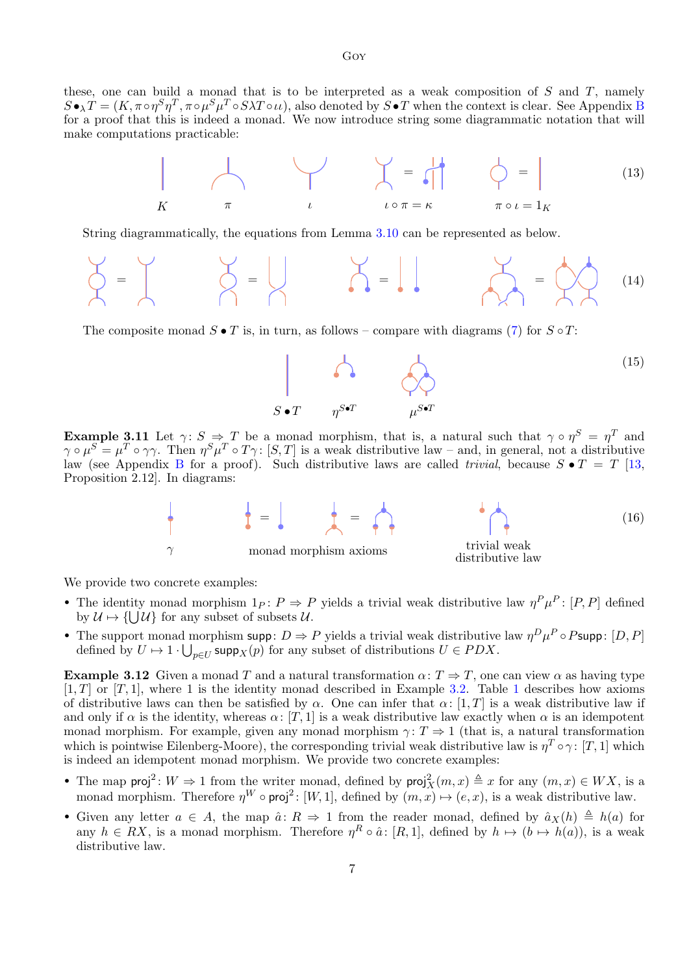these, one can build a monad that is to be interpreted as a weak composition of  $S$  and  $T$ , namely  $S \bullet_\lambda T = (K, \pi \circ \eta^S \eta^T, \pi \circ \mu^S \mu^T \circ S \lambda T \circ \iota \iota),$  also denoted by  $S \bullet T$  when the context is clear. See Appendix [B](#page-18-0) for a proof that this is indeed a monad. We now introduce string some diagrammatic notation that will make computations practicable:

<span id="page-6-0"></span>

String diagrammatically, the equations from Lemma [3.10](#page-5-0) can be represented as below.

$$
\begin{matrix}\n\check{\varphi} & \check{\varphi} \\
\check{\varphi} & \check{\varphi}\n\end{matrix}\n\qquad\n\begin{matrix}\n\check{\varphi} & \check{\varphi} \\
\check{\varphi} & \check{\varphi}\n\end{matrix}\n\qquad\n\begin{matrix}\n\check{\varphi} & \check{\varphi} \\
\check{\varphi} & \check{\varphi}\n\end{matrix}\n\qquad\n\begin{matrix}\n\check{\varphi} & \check{\varphi} \\
\check{\varphi} & \check{\varphi}\n\end{matrix}\n\qquad (14)
$$

The composite monad  $S \bullet T$  is, in turn, as follows – compare with diagrams [\(7\)](#page-5-1) for  $S \circ T$ :



<span id="page-6-1"></span>**Example 3.11** Let  $\gamma: S \Rightarrow T$  be a monad morphism, that is, a natural such that  $\gamma \circ \eta^S = \eta^T$  and  $\gamma \circ \mu^S = \mu^T \circ \gamma \gamma$ . Then  $\eta^S \mu^T \circ T \gamma$ : [S, T] is a weak distributive law – and, in general, not a distributive law (see Appendix [B](#page-18-0) for a proof). Such distributive laws are called *trivial*, because  $S \bullet T = T$  [\[13,](#page-15-18) Proposition 2.12]. In diagrams:



We provide two concrete examples:

- The identity monad morphism  $1_P: P \Rightarrow P$  yields a trivial weak distributive law  $\eta^P \mu^P: [P, P]$  defined by  $\mathcal{U} \mapsto \{\bigcup \mathcal{U}\}\$  for any subset of subsets  $\mathcal{U}$ .
- The support monad morphism supp:  $D \Rightarrow P$  yields a trivial weak distributive law  $\eta^D \mu^P \circ P$ supp:  $[D, P]$ defined by  $U \mapsto 1 \cdot \bigcup_{p \in U} \operatorname{supp}_X(p)$  for any subset of distributions  $U \in PDX$ .

**Example 3.12** Given a monad T and a natural transformation  $\alpha: T \Rightarrow T$ , one can view  $\alpha$  as having type  $[1, T]$  $[1, T]$  $[1, T]$  or  $[T, 1]$ , where 1 is the identity monad described in Example [3.2.](#page-4-2) Table 1 describes how axioms of distributive laws can then be satisfied by  $\alpha$ . One can infer that  $\alpha$ : [1, T] is a weak distributive law if and only if  $\alpha$  is the identity, whereas  $\alpha: [T, 1]$  is a weak distributive law exactly when  $\alpha$  is an idempotent monad morphism. For example, given any monad morphism  $\gamma: T \Rightarrow 1$  (that is, a natural transformation which is pointwise Eilenberg-Moore), the corresponding trivial weak distributive law is  $\eta^T \circ \gamma$ : [T, 1] which is indeed an idempotent monad morphism. We provide two concrete examples:

- The map  $\mathsf{proj}^2: W \Rightarrow 1$  from the writer monad, defined by  $\mathsf{proj}_X^2(m, x) \triangleq x$  for any  $(m, x) \in W X$ , is a monad morphism. Therefore  $\eta^W \circ \text{proj}^2$ : [W, 1], defined by  $(m, x) \mapsto (e, x)$ , is a weak distributive law.
- Given any letter  $a \in A$ , the map  $\hat{a} : R \Rightarrow 1$  from the reader monad, defined by  $\hat{a}_X(h) \triangleq h(a)$  for any  $h \in RX$ , is a monad morphism. Therefore  $\eta^R \circ \hat{a}$ : [R, 1], defined by  $h \mapsto (b \mapsto h(a))$ , is a weak distributive law.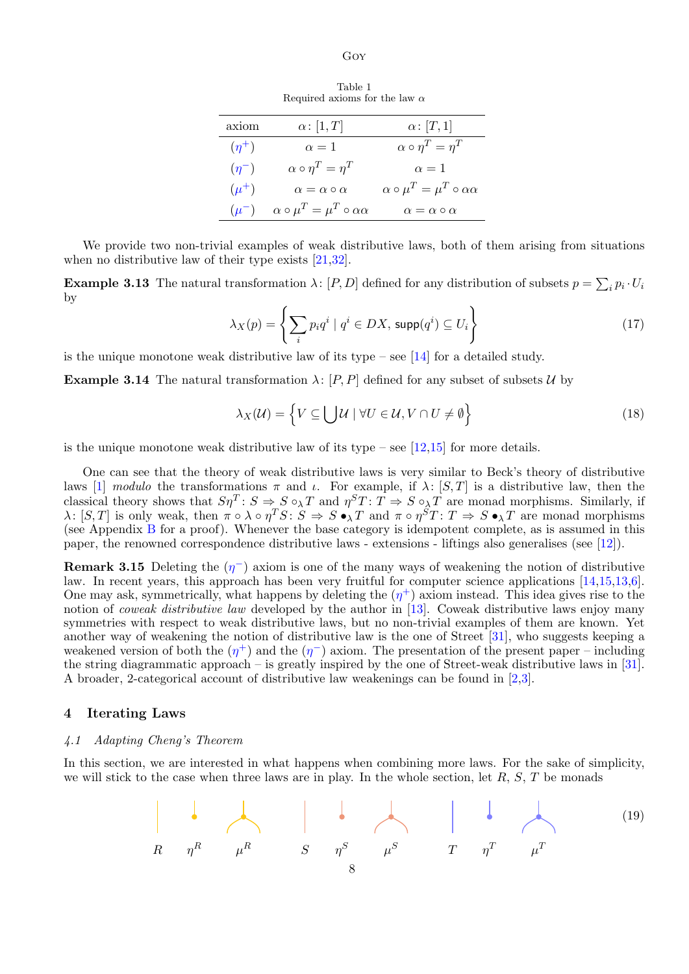Goy

Table 1 Required axioms for the law  $\alpha$ 

| axiom      | $\alpha$ : [1, T]                                | $\alpha\colon [T,1]$                             |
|------------|--------------------------------------------------|--------------------------------------------------|
| $(\eta^+)$ | $\alpha=1$                                       | $\alpha \circ \eta^T = \eta^T$                   |
| $(\eta^-)$ | $\alpha \circ \eta^T = \eta^T$                   | $\alpha=1$                                       |
| $(\mu^+)$  | $\alpha = \alpha \circ \alpha$                   | $\alpha \circ \mu^T = \mu^T \circ \alpha \alpha$ |
| $(\mu^-)$  | $\alpha \circ \mu^T = \mu^T \circ \alpha \alpha$ | $\alpha = \alpha \circ \alpha$                   |

<span id="page-7-2"></span>We provide two non-trivial examples of weak distributive laws, both of them arising from situations when no distributive law of their type exists [\[21,](#page-16-9)[32\]](#page-16-8).

<span id="page-7-4"></span><span id="page-7-3"></span>**Example 3.13** The natural transformation  $\lambda$ :  $[P, D]$  defined for any distribution of subsets  $p = \sum_i p_i \cdot U_i$ by

$$
\lambda_X(p) = \left\{ \sum_i p_i q^i \mid q^i \in DX, \, \text{supp}(q^i) \subseteq U_i \right\} \tag{17}
$$

is the unique monotone weak distributive law of its type – see  $[14]$  for a detailed study.

<span id="page-7-5"></span>**Example 3.14** The natural transformation  $\lambda$ : [P, P] defined for any subset of subsets U by

<span id="page-7-6"></span>
$$
\lambda_X(\mathcal{U}) = \left\{ V \subseteq \bigcup \mathcal{U} \mid \forall U \in \mathcal{U}, V \cap U \neq \emptyset \right\}
$$
\n(18)

is the unique monotone weak distributive law of its type – see  $[12,15]$  $[12,15]$  for more details.

One can see that the theory of weak distributive laws is very similar to Beck's theory of distributive laws [\[1\]](#page-15-0) modulo the transformations  $\pi$  and  $\iota$ . For example, if  $\lambda$ : [S, T] is a distributive law, then the classical theory shows that  $S\eta^T: S \Rightarrow S \circ_\lambda T$  and  $\eta^S T: T \Rightarrow S \circ_\lambda T$  are monad morphisms. Similarly, if  $\lambda: [S,T]$  is only weak, then  $\pi \circ \lambda \circ \eta^T S: S \Rightarrow S \bullet_\lambda T$  and  $\pi \circ \eta^S T: T \Rightarrow S \bullet_\lambda T$  are monad morphisms (see Appendix [B](#page-18-0) for a proof). Whenever the base category is idempotent complete, as is assumed in this paper, the renowned correspondence distributive laws - extensions - liftings also generalises (see [\[12\]](#page-15-7)).

<span id="page-7-1"></span>**Remark 3.15** Deleting the  $(\eta^{-})$  axiom is one of the many ways of weakening the notion of distributive law. In recent years, this approach has been very fruitful for computer science applications [\[14,](#page-15-10)[15,](#page-15-11)[13,](#page-15-18)[6\]](#page-15-12). One may ask, symmetrically, what happens by deleting the  $(\eta^+)$  axiom instead. This idea gives rise to the notion of coweak distributive law developed by the author in [\[13\]](#page-15-18). Coweak distributive laws enjoy many symmetries with respect to weak distributive laws, but no non-trivial examples of them are known. Yet another way of weakening the notion of distributive law is the one of Street [\[31\]](#page-16-13), who suggests keeping a weakened version of both the  $(\eta^+)$  and the  $(\eta^-)$  axiom. The presentation of the present paper – including the string diagrammatic approach – is greatly inspired by the one of Street-weak distributive laws in [\[31\]](#page-16-13). A broader, 2-categorical account of distributive law weakenings can be found in [\[2,](#page-15-8)[3\]](#page-15-9).

#### <span id="page-7-0"></span>4 Iterating Laws

## 4.1 Adapting Cheng's Theorem

In this section, we are interested in what happens when combining more laws. For the sake of simplicity, we will stick to the case when three laws are in play. In the whole section, let  $R$ ,  $S$ ,  $T$  be monads

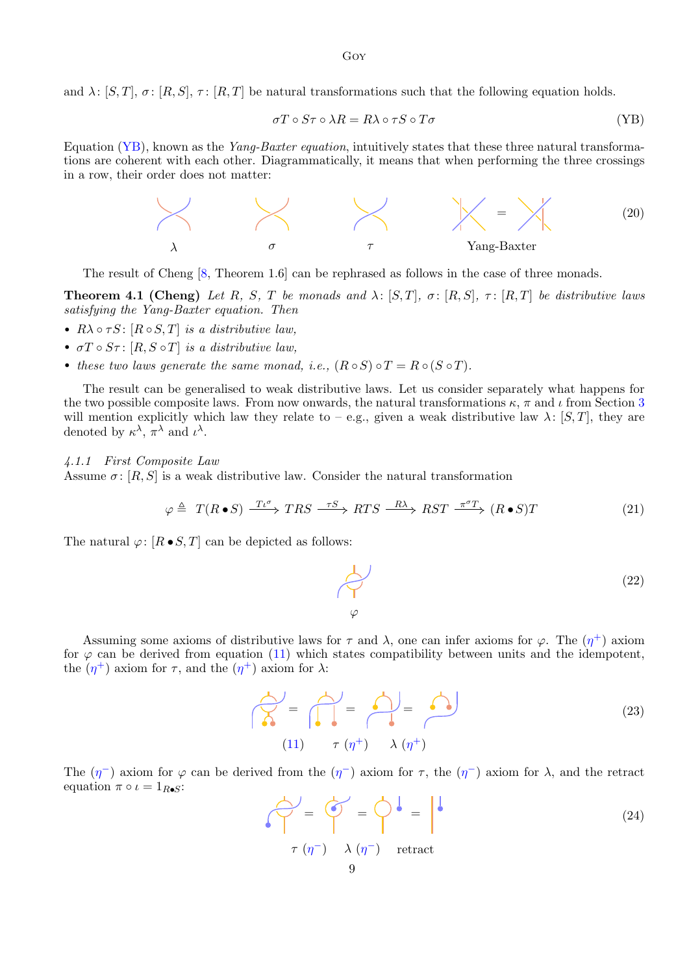and  $\lambda: [S, T], \sigma: [R, S], \tau: [R, T]$  be natural transformations such that the following equation holds.

<span id="page-8-1"></span>
$$
\sigma T \circ S\tau \circ \lambda R = R\lambda \circ \tau S \circ T\sigma \tag{YB}
$$

Equation [\(YB\)](#page-8-1), known as the *Yang-Baxter equation*, intuitively states that these three natural transformations are coherent with each other. Diagrammatically, it means that when performing the three crossings in a row, their order does not matter:



The result of Cheng [\[8,](#page-15-5) Theorem 1.6] can be rephrased as follows in the case of three monads.

<span id="page-8-0"></span>**Theorem 4.1 (Cheng)** Let R, S, T be monads and  $\lambda: [S,T], \sigma: [R,S], \tau: [R,T]$  be distributive laws satisfying the Yang-Baxter equation. Then

- $R\lambda \circ \tau S$ :  $[R \circ S, T]$  is a distributive law,
- $\sigma T \circ S \tau$ :  $[R, S \circ T]$  is a distributive law,
- these two laws generate the same monad, i.e.,  $(R \circ S) \circ T = R \circ (S \circ T)$ .

The result can be generalised to weak distributive laws. Let us consider separately what happens for the two possible composite laws. From now onwards, the natural transformations  $\kappa$ ,  $\pi$  and  $\iota$  from Section [3](#page-4-0) will mention explicitly which law they relate to – e.g., given a weak distributive law  $\lambda: [S, T]$ , they are denoted by  $\kappa^{\lambda}$ ,  $\pi^{\lambda}$  and  $\iota^{\lambda}$ .

## <span id="page-8-2"></span>4.1.1 First Composite Law

Assume  $\sigma$ : [R, S] is a weak distributive law. Consider the natural transformation

$$
\varphi \triangleq T(R \bullet S) \xrightarrow{T\iota^{\sigma}} TRS \xrightarrow{\tau S} RTS \xrightarrow{R\lambda} RST \xrightarrow{\pi^{\sigma}T} (R \bullet S)T
$$
\n(21)

The natural  $\varphi: [R \bullet S, T]$  can be depicted as follows:

$$
\begin{array}{c}\n\downarrow \\
\varphi\n\end{array}
$$
\n(22)

Assuming some axioms of distributive laws for  $\tau$  and  $\lambda$ , one can infer axioms for  $\varphi$ . The  $(\eta^+)$  axiom for  $\varphi$  can be derived from equation [\(11\)](#page-5-2) which states compatibility between units and the idempotent, the  $(\eta^+)$  axiom for  $\tau$ , and the  $(\eta^+)$  axiom for  $\lambda$ :

$$
\widehat{\widehat{\Lambda}} = \widehat{\widehat{\Pi}} = \widehat{\widehat{\Pi}} = \widehat{\widehat{\Lambda}} \tag{23}
$$
\n
$$
(11) \quad \tau (\eta^+) \quad \lambda (\eta^+)
$$

The  $(\eta^-)$  axiom for  $\varphi$  can be derived from the  $(\eta^-)$  axiom for  $\tau$ , the  $(\eta^-)$  axiom for  $\lambda$ , and the retract equation  $\pi \circ \iota = 1_{R \bullet S}$ :

$$
\mathcal{L} = \mathcal{L} = \mathcal{L} = \mathcal{L}
$$
\n
$$
\mathcal{T}(\eta^{-}) \quad \lambda(\eta^{-}) \quad \text{retract}
$$
\n
$$
\mathcal{L}(\eta^{-}) \quad \text{if } \eta \in \mathcal{L}
$$
\n
$$
\mathcal{L}(\eta^{-}) \quad \text{if } \eta \in \mathcal{L}
$$
\n
$$
\mathcal{L}(\eta) = \mathcal{L}(\eta^{-}) \quad \text{if } \eta \in \mathcal{L}
$$
\n
$$
\mathcal{L}(\eta) = \mathcal{L}(\eta^{-}) \quad \text{if } \eta \in \mathcal{L}
$$
\n
$$
\mathcal{L}(\eta) = \mathcal{L}(\eta) \quad \text{if } \eta \in \mathcal{L}
$$
\n
$$
\mathcal{L}(\eta) = \mathcal{L}(\eta) \quad \text{if } \eta \in \mathcal{L}
$$
\n
$$
\mathcal{L}(\eta) = \mathcal{L}(\eta) \quad \text{if } \eta \in \mathcal{L}
$$
\n
$$
\mathcal{L}(\eta) = \mathcal{L}(\eta) \quad \text{if } \eta \in \mathcal{L}
$$
\n
$$
\mathcal{L}(\eta) = \mathcal{L}(\eta) \quad \text{if } \eta \in \mathcal{L}
$$
\n
$$
\mathcal{L}(\eta) = \mathcal{L}(\eta) \quad \text{if } \eta \in \mathcal{L}
$$
\n
$$
\mathcal{L}(\eta) = \mathcal{L}(\eta) \quad \text{if } \eta \in \mathcal{L}
$$
\n
$$
\mathcal{L}(\eta) = \mathcal{L}(\eta) \quad \text{if } \eta \in \mathcal{L}
$$
\n
$$
\mathcal{L}(\eta) = \mathcal{L}(\eta) \quad \text{if } \eta \in \mathcal{L}
$$
\n
$$
\mathcal{L}(\eta) = \mathcal{L}(\eta) \quad \text{if } \eta \in \mathcal{L}
$$
\n
$$
\mathcal{L}(\eta) = \mathcal{L}(\eta) \quad \text{if } \eta \in \mathcal{L}
$$
\n
$$
\mathcal{L}(\eta) = \mathcal{L}(\eta) \quad \text{if } \eta \in \mathcal{L}
$$
\n
$$
\mathcal{
$$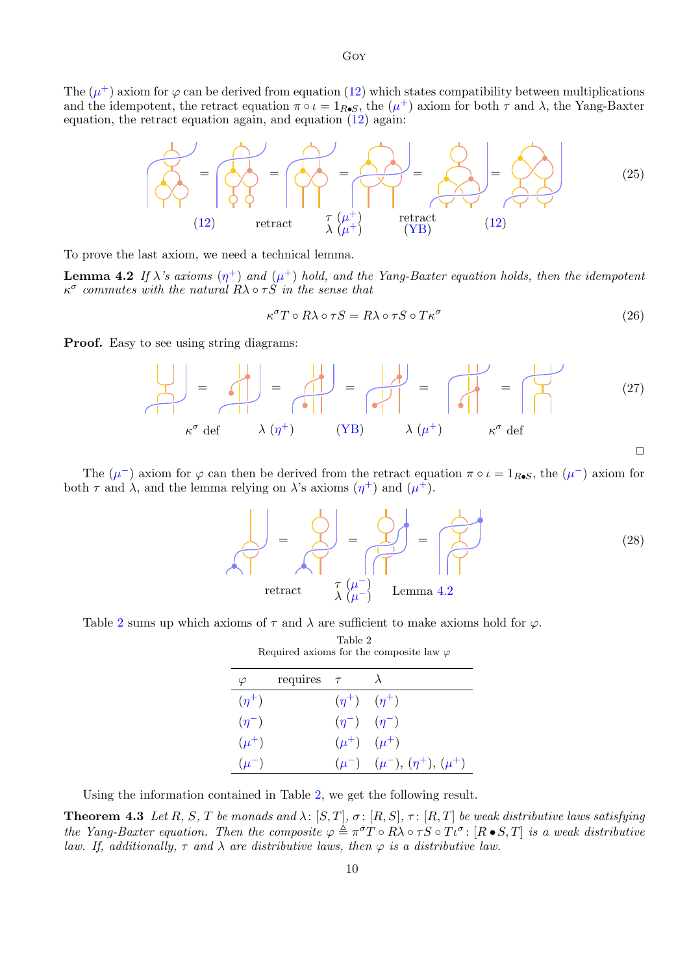The  $(\mu^+)$  axiom for  $\varphi$  can be derived from equation [\(12\)](#page-5-3) which states compatibility between multiplications and the idempotent, the retract equation  $\pi \circ \iota = 1_{R\bullet S}$ , the  $(\mu^+)$  axiom for both  $\tau$  and  $\lambda$ , the Yang-Baxter equation, the retract equation again, and equation  $(12)$  again:



To prove the last axiom, we need a technical lemma.

<span id="page-9-2"></span>**Lemma 4.2** If  $\lambda$ 's axioms  $(\eta^+)$  and  $(\mu^+)$  hold, and the Yang-Baxter equation holds, then the idempotent  $\kappa^{\sigma}$  commutes with the natural  $R\lambda \circ \tau S$  in the sense that

<span id="page-9-1"></span>
$$
\kappa^{\sigma} T \circ R \lambda \circ \tau S = R \lambda \circ \tau S \circ T \kappa^{\sigma} \tag{26}
$$

**Proof.** Easy to see using string diagrams:

$$
\begin{vmatrix}\n\downarrow \\
\downarrow\n\end{vmatrix} = \begin{vmatrix}\n\downarrow \\
\downarrow\n\end{vmatrix} = \begin{vmatrix}\n\downarrow \\
\downarrow\n\end{vmatrix} = \begin{vmatrix}\n\downarrow \\
\downarrow\n\end{vmatrix} = \begin{vmatrix}\n\downarrow \\
\downarrow\n\end{vmatrix} = \begin{vmatrix}\n\downarrow \\
\downarrow\n\end{vmatrix} = \begin{vmatrix}\n\downarrow \\
\downarrow\n\end{vmatrix} \tag{27}
$$
\n
$$
\kappa^{\sigma} \text{ def } \lambda (\eta^{+}) \qquad (\text{YB}) \qquad \lambda (\mu^{+}) \qquad \kappa^{\sigma} \text{ def}
$$

The  $(\mu^-)$  axiom for  $\varphi$  can then be derived from the retract equation  $\pi \circ \iota = 1_{R \bullet S}$ , the  $(\mu^-)$  axiom for both  $\tau$  and  $\lambda$ , and the lemma relying on  $\lambda$ 's axioms  $(\eta^+)$  and  $(\mu^+)$ .



<span id="page-9-3"></span>Table [2](#page-9-3) sums up which axioms of  $\tau$  and  $\lambda$  are sufficient to make axioms hold for  $\varphi$ .

| Required axioms for the composite law $\varphi$ |                 |                           |                                        |  |  |
|-------------------------------------------------|-----------------|---------------------------|----------------------------------------|--|--|
| $\varphi$                                       | requires $\tau$ |                           | $\lambda$                              |  |  |
| $(\eta^+)$                                      |                 | $(\eta^+)$ $(\eta^+)$     |                                        |  |  |
| $(\eta^-)$                                      |                 | $(\eta^{-})$ $(\eta^{-})$ |                                        |  |  |
| $(\mu^+)$                                       |                 |                           | $(\mu^+)$ $(\mu^+)$                    |  |  |
| $(\mu^-)$                                       |                 |                           | $(\mu^-)$ $(\mu^-), (\eta^+), (\mu^+)$ |  |  |

Table 2

Using the information contained in Table [2,](#page-9-3) we get the following result.

<span id="page-9-0"></span>**Theorem 4.3** Let R, S, T be monads and  $\lambda$ :  $[S,T]$ ,  $\sigma$ :  $[R,S]$ ,  $\tau$ :  $[R,T]$  be weak distributive laws satisfying the Yang-Baxter equation. Then the composite  $\varphi \triangleq \pi^{\sigma}T \circ R\lambda \circ \tau S \circ T\iota^{\sigma}$ :  $[R \bullet S, T]$  is a weak distributive law. If, additionally,  $\tau$  and  $\lambda$  are distributive laws, then  $\varphi$  is a distributive law.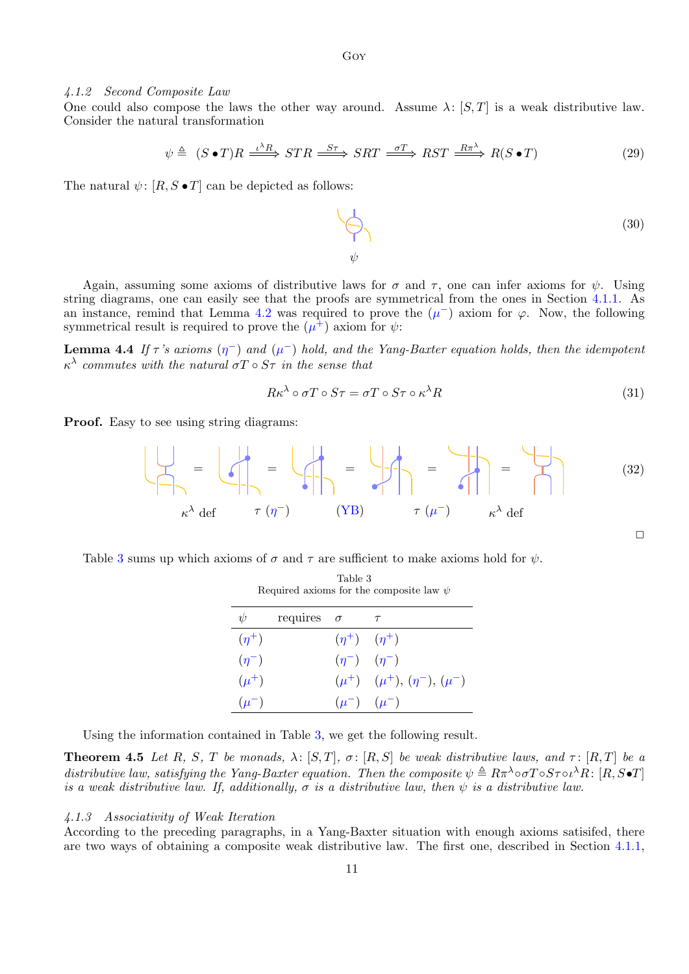#### <span id="page-10-2"></span>4.1.2 Second Composite Law

One could also compose the laws the other way around. Assume  $\lambda: [S, T]$  is a weak distributive law. Consider the natural transformation

$$
\psi \triangleq (S \bullet T)R \xrightarrow{\iota^{\lambda}R} STR \xrightarrow{S\tau} SRT \xrightarrow{\sigma T} RST \xrightarrow{R\pi^{\lambda}} R(S \bullet T)
$$
\n(29)

The natural  $\psi$ :  $[R, S \bullet T]$  can be depicted as follows:

(30) 
$$
\psi
$$

Again, assuming some axioms of distributive laws for  $\sigma$  and  $\tau$ , one can infer axioms for  $\psi$ . Using string diagrams, one can easily see that the proofs are symmetrical from the ones in Section [4.1.1.](#page-8-2) As an instance, remind that Lemma [4.2](#page-9-2) was required to prove the  $(\mu^-)$  axiom for  $\varphi$ . Now, the following symmetrical result is required to prove the  $(\mu^{\hat{+}})$  axiom for  $\psi$ :

<span id="page-10-3"></span>**Lemma 4.4** If  $\tau$ 's axioms  $(\eta^-)$  and  $(\mu^-)$  hold, and the Yang-Baxter equation holds, then the idempotent  $\kappa^{\lambda}$  commutes with the natural  $\sigma T \circ S\tau$  in the sense that

$$
R\kappa^{\lambda} \circ \sigma T \circ S\tau = \sigma T \circ S\tau \circ \kappa^{\lambda} R \tag{31}
$$

**Proof.** Easy to see using string diagrams:

$$
\left\{\bigcup_{\mu \in \mathcal{A}} \alpha^{\lambda} \det \left\{\begin{matrix} \alpha^{\mu} \\ \beta^{\mu} \end{matrix}\right\} \right\} = \left\{\bigcup_{\mu \in \mathcal{A}} \alpha^{\mu} \det \left\{\begin{matrix} \alpha^{\mu} \\ \beta^{\mu} \end{matrix}\right\} \right\} = \bigcup_{\mu \in \mathcal{A}} \alpha^{\mu} \det \left\{\begin{matrix} \alpha^{\mu} \\ \beta^{\mu} \end{matrix}\right\} = \bigcup_{\mu \in \mathcal{A}} \alpha^{\mu} \det \left\{\begin{matrix} \alpha^{\mu} \\ \beta^{\mu} \end{matrix}\right\} = \bigcup_{\mu \in \mathcal{A}} \alpha^{\mu} \det \left\{\begin{matrix} \alpha^{\mu} \\ \beta^{\mu} \end{matrix}\right\} = \bigcup_{\mu \in \mathcal{A}} \alpha^{\mu} \det \left\{\begin{matrix} \alpha^{\mu} \\ \beta^{\mu} \end{matrix}\right\} = \bigcup_{\mu \in \mathcal{A}} \alpha^{\mu} \det \left\{\begin{matrix} \alpha^{\mu} \\ \beta^{\mu} \end{matrix}\right\} = \bigcup_{\mu \in \mathcal{A}} \alpha^{\mu} \det \left\{\begin{matrix} \alpha^{\mu} \\ \beta^{\mu} \end{matrix}\right\} = \bigcup_{\mu \in \mathcal{A}} \alpha^{\mu} \det \left\{\begin{matrix} \alpha^{\mu} \\ \beta^{\mu} \end{matrix}\right\} = \bigcup_{\mu \in \mathcal{A}} \alpha^{\mu} \det \left\{\begin{matrix} \alpha^{\mu} \\ \beta^{\mu} \end{matrix}\right\} = \bigcup_{\mu \in \mathcal{A}} \alpha^{\mu} \det \left\{\begin{matrix} \alpha^{\mu} \\ \beta^{\mu} \end{matrix}\right\} = \bigcup_{\mu \in \mathcal{A}} \alpha^{\mu} \det \left\{\begin{matrix} \alpha^{\mu} \\ \beta^{\mu} \end{matrix}\right\} = \bigcup_{\mu \in \mathcal{A}} \alpha^{\mu} \det \left\{\begin{matrix} \alpha^{\mu} \\ \beta^{\mu} \end{matrix}\right\} = \bigcup_{\mu \in \mathcal{A}} \alpha^{\mu} \det \left\{\begin{matrix} \alpha^{\mu} \\ \beta^{\mu} \end{matrix}\right\} = \bigcup_{\mu \in \mathcal{A}} \alpha^{\
$$

<span id="page-10-1"></span>Table [3](#page-10-1) sums up which axioms of  $\sigma$  and  $\tau$  are sufficient to make axioms hold for  $\psi$ .

| $\psi$     | requires $\sigma$ |                           | $\tau$                                 |
|------------|-------------------|---------------------------|----------------------------------------|
| $(\eta^+)$ |                   | $(\eta^+)$ $(\eta^+)$     |                                        |
| $(\eta^-)$ |                   | $(\eta^{-})$ $(\eta^{-})$ |                                        |
| $(\mu^+)$  |                   |                           | $(\mu^+)$ $(\mu^+), (\eta^-), (\mu^-)$ |
| $(\mu^-)$  |                   |                           | $(\mu^{-})$ $(\mu^{-})$                |

| Table 3                                      |  |
|----------------------------------------------|--|
| Required axioms for the composite law $\psi$ |  |

Using the information contained in Table [3,](#page-10-1) we get the following result.

<span id="page-10-0"></span>**Theorem 4.5** Let R, S, T be monads,  $\lambda: [S,T], \sigma: [R,S]$  be weak distributive laws, and  $\tau: [R,T]$  be a distributive law, satisfying the Yang-Baxter equation. Then the composite  $\psi \triangleq R\pi^{\lambda} \circ \sigma T \circ S \tau \circ \iota^{\lambda} R$ :  $[R, S \bullet T]$ is a weak distributive law. If, additionally,  $\sigma$  is a distributive law, then  $\psi$  is a distributive law.

#### 4.1.3 Associativity of Weak Iteration

According to the preceding paragraphs, in a Yang-Baxter situation with enough axioms satisifed, there are two ways of obtaining a composite weak distributive law. The first one, described in Section [4.1.1,](#page-8-2)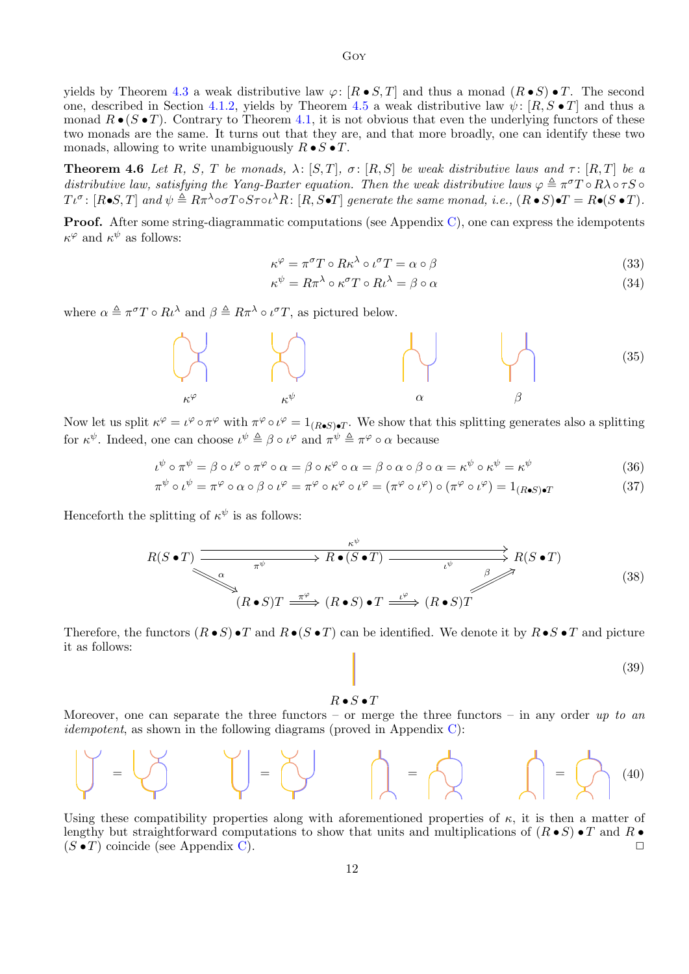yields by Theorem [4.3](#page-9-0) a weak distributive law  $\varphi: [R \bullet S, T]$  and thus a monad  $(R \bullet S) \bullet T$ . The second one, described in Section [4.1.2,](#page-10-2) yields by Theorem [4.5](#page-10-0) a weak distributive law  $\psi$ : [R, S • T] and thus a monad  $R \bullet (S \bullet T)$ . Contrary to Theorem [4.1,](#page-8-0) it is not obvious that even the underlying functors of these two monads are the same. It turns out that they are, and that more broadly, one can identify these two monads, allowing to write unambiguously  $R \bullet S \bullet T$ .

<span id="page-11-0"></span>**Theorem 4.6** Let R, S, T be monads,  $\lambda \colon [S, T]$ ,  $\sigma \colon [R, S]$  be weak distributive laws and  $\tau \colon [R, T]$  be a distributive law, satisfying the Yang-Baxter equation. Then the weak distributive laws  $\varphi \triangleq \pi^{\sigma} T \circ R \lambda \circ \tau S$  $T\iota^{\sigma} \colon [R \bullet S, T]$  and  $\psi \triangleq R\pi^{\lambda} \circ \sigma T \circ S\tau \circ \iota^{\lambda} R \colon [R, S \bullet T]$  generate the same monad, i.e.,  $(R \bullet S) \bullet T = R \bullet (S \bullet T)$ .

Proof. After some string-diagrammatic computations (see Appendix [C\)](#page-21-0), one can express the idempotents  $\kappa^{\varphi}$  and  $\kappa^{\psi}$  as follows:

<span id="page-11-1"></span>
$$
\kappa^{\varphi} = \pi^{\sigma} T \circ R \kappa^{\lambda} \circ \iota^{\sigma} T = \alpha \circ \beta \tag{33}
$$

<span id="page-11-2"></span>
$$
\kappa^{\psi} = R\pi^{\lambda} \circ \kappa^{\sigma} T \circ R\iota^{\lambda} = \beta \circ \alpha \tag{34}
$$

where  $\alpha \triangleq \pi^{\sigma} T \circ R \iota^{\lambda}$  and  $\beta \triangleq R \pi^{\lambda} \circ \iota^{\sigma} T$ , as pictured below.



Now let us split  $\kappa^{\varphi} = \iota^{\varphi} \circ \pi^{\varphi}$  with  $\pi^{\varphi} \circ \iota^{\varphi} = 1_{(R \bullet S) \bullet T}$ . We show that this splitting generates also a splitting for  $\kappa^{\psi}$ . Indeed, one can choose  $\iota^{\psi} \triangleq \beta \circ \iota^{\varphi}$  and  $\pi^{\psi} \triangleq \pi^{\varphi} \circ \alpha$  because

$$
\iota^{\psi} \circ \pi^{\psi} = \beta \circ \iota^{\varphi} \circ \pi^{\varphi} \circ \alpha = \beta \circ \kappa^{\varphi} \circ \alpha = \beta \circ \alpha \circ \beta \circ \alpha = \kappa^{\psi} \circ \kappa^{\psi} = \kappa^{\psi} \tag{36}
$$

$$
\pi^{\psi} \circ \iota^{\psi} = \pi^{\varphi} \circ \alpha \circ \beta \circ \iota^{\varphi} = \pi^{\varphi} \circ \kappa^{\varphi} \circ \iota^{\varphi} = (\pi^{\varphi} \circ \iota^{\varphi}) \circ (\pi^{\varphi} \circ \iota^{\varphi}) = 1_{(R \bullet S) \bullet T}
$$
(37)

Henceforth the splitting of  $\kappa^{\psi}$  is as follows:

$$
R(S \bullet T) \xrightarrow{\pi^{\psi}} R \bullet (S \bullet T) \xrightarrow{\iota^{\psi}} R(S \bullet T)
$$
\n
$$
(R \bullet S)T \xrightarrow{\pi^{\varphi}} (R \bullet S) \bullet T \xrightarrow{\iota^{\varphi}} (R \bullet S)T
$$
\n
$$
(38)
$$

Therefore, the functors  $(R \bullet S) \bullet T$  and  $R \bullet (S \bullet T)$  can be identified. We denote it by  $R \bullet S \bullet T$  and picture it as follows:

<span id="page-11-3"></span>(39)

#### $R \bullet S \bullet T$

Moreover, one can separate the three functors – or merge the three functors – in any order up to an *idempotent*, as shown in the following diagrams (proved in Appendix  $C$ ):

$$
\bigcup_{i=1}^n \begin{matrix} 1 & 1 & 1 \\ 1 & 1 & 1 \end{matrix} \bigcup_{i=1}^n \begin{matrix} 1 & 1 & 1 \\ 1 & 1 & 1 \end{matrix} \bigcup_{i=1}^n \begin{matrix} 1 & 1 & 1 \\ 1 & 1 & 1 \end{matrix} \bigcup_{i=1}^n \begin{matrix} 1 & 1 & 1 \\ 1 & 1 & 1 \end{matrix} \bigcup_{i=1}^n \begin{matrix} 1 & 1 & 1 \\ 1 & 1 & 1 \end{matrix} \bigcup_{i=1}^n \begin{matrix} 1 & 1 & 1 \\ 1 & 1 & 1 \end{matrix} \bigcup_{i=1}^n \begin{matrix} 1 & 1 & 1 \\ 1 & 1 & 1 \end{matrix} \bigcup_{i=1}^n \begin{matrix} 1 & 1 & 1 \\ 1 & 1 & 1 \end{matrix} \bigcup_{i=1}^n \begin{matrix} 1 & 1 & 1 \\ 1 & 1 & 1 \end{matrix} \bigcup_{i=1}^n \begin{matrix} 1 & 1 & 1 \\ 1 & 1 & 1 \end{matrix} \bigcup_{i=1}^n \begin{matrix} 1 & 1 & 1 \\ 1 & 1 & 1 \end{matrix} \bigcup_{i=1}^n \begin{matrix} 1 & 1 & 1 \\ 1 & 1 & 1 \end{matrix} \bigcup_{i=1}^n \begin{matrix} 1 & 1 & 1 \\ 1 & 1 & 1 \end{matrix} \bigcup_{i=1}^n \begin{matrix} 1 & 1 & 1 \\ 1 & 1 & 1 \end{matrix} \bigcup_{i=1}^n \begin{matrix} 1 & 1 & 1 \\ 1 & 1 & 1 \end{matrix} \bigcup_{i=1}^n \begin{matrix} 1 & 1 & 1 \\ 1 & 1 & 1 \end{matrix} \bigcup_{i=1}^n \begin{matrix} 1 & 1 & 1 \\ 1 & 1 & 1
$$

Using these compatibility properties along with aforementioned properties of  $\kappa$ , it is then a matter of lengthy but straightforward computations to show that units and multiplications of  $(R \bullet S) \bullet T$  and  $R \bullet$  $(S \bullet T)$  coincide (see Appendix [C\)](#page-21-0).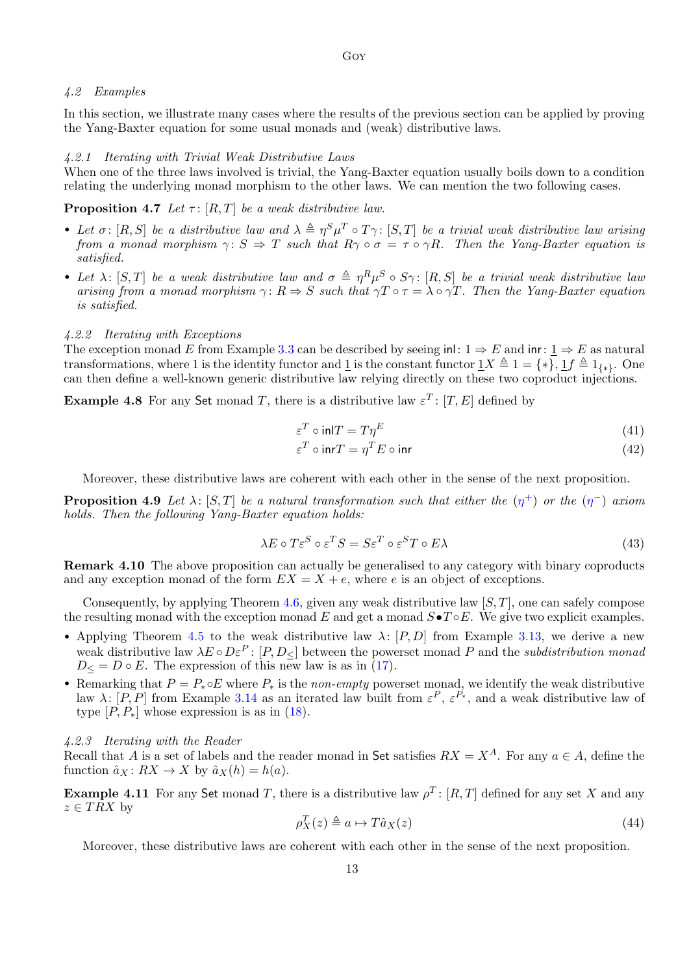# <span id="page-12-0"></span>4.2 Examples

In this section, we illustrate many cases where the results of the previous section can be applied by proving the Yang-Baxter equation for some usual monads and (weak) distributive laws.

#### 4.2.1 Iterating with Trivial Weak Distributive Laws

When one of the three laws involved is trivial, the Yang-Baxter equation usually boils down to a condition relating the underlying monad morphism to the other laws. We can mention the two following cases.

<span id="page-12-1"></span>**Proposition 4.7** Let  $\tau$ : [R, T] be a weak distributive law.

- Let  $\sigma$ : [R, S] be a distributive law and  $\lambda \triangleq \eta^{S} \mu^{T} \circ T \gamma$ : [S, T] be a trivial weak distributive law arising from a monad morphism  $\gamma: S \Rightarrow T$  such that  $R\gamma \circ \sigma = \tau \circ \gamma R$ . Then the Yang-Baxter equation is satisfied.
- Let  $\lambda$ : [S, T] be a weak distributive law and  $\sigma \triangleq \eta^R \mu^S \circ S \gamma$ : [R, S] be a trivial weak distributive law arising from a monad morphism  $\gamma: R \Rightarrow S$  such that  $\gamma T \circ \tau = \lambda \circ \gamma T$ . Then the Yang-Baxter equation is satisfied.

#### 4.2.2 Iterating with Exceptions

The exception monad E from Example [3.3](#page-4-3) can be described by seeing inl:  $1 \Rightarrow E$  and inr:  $1 \Rightarrow E$  as natural transformations, where 1 is the identity functor and 1 is the constant functor  $1X \triangleq 1 = \{*\}, 1f \triangleq 1_{\{*\}}.$  One can then define a well-known generic distributive law relying directly on these two coproduct injections.

**Example 4.8** For any Set monad T, there is a distributive law  $\varepsilon^T$ :  $[T, E]$  defined by

$$
\varepsilon^T \circ \text{in} \, T = T\eta^E \tag{41}
$$

$$
\varepsilon^T \circ \text{inr} = \eta^T E \circ \text{inr} \tag{42}
$$

Moreover, these distributive laws are coherent with each other in the sense of the next proposition.

<span id="page-12-2"></span>**Proposition 4.9** Let  $\lambda$ : [S,T] be a natural transformation such that either the  $(\eta^+)$  or the  $(\eta^-)$  axiom holds. Then the following Yang-Baxter equation holds:

$$
\lambda E \circ T \varepsilon^{S} \circ \varepsilon^{T} S = S \varepsilon^{T} \circ \varepsilon^{S} T \circ E \lambda
$$
\n(43)

Remark 4.10 The above proposition can actually be generalised to any category with binary coproducts and any exception monad of the form  $EX = X + e$ , where e is an object of exceptions.

Consequently, by applying Theorem [4.6,](#page-11-0) given any weak distributive law  $[S, T]$ , one can safely compose the resulting monad with the exception monad E and get a monad  $S\bullet T\circ E$ . We give two explicit examples.

- Applying Theorem [4.5](#page-10-0) to the weak distributive law  $\lambda: [P, D]$  from Example [3.13,](#page-7-3) we derive a new weak distributive law  $\lambda E \circ D \varepsilon^P$ :  $[P, D_{\leq}]$  between the powerset monad P and the *subdistribution monad*  $D \leq D \circ E$ . The expression of this new law is as in [\(17\)](#page-7-4).
- Remarking that  $P = P_{*} \circ E$  where  $P_{*}$  is the non-empty powerset monad, we identify the weak distributive law  $\lambda: [P, P]$  from Example [3.14](#page-7-5) as an iterated law built from  $\varepsilon^P, \varepsilon^{P_*}$ , and a weak distributive law of type  $[P, P_*]$  whose expression is as in  $(18)$ .

4.2.3 Iterating with the Reader

Recall that A is a set of labels and the reader monad in Set satisfies  $RX = X<sup>A</sup>$ . For any  $a \in A$ , define the function  $\hat{a}_X : RX \to X$  by  $\hat{a}_X(h) = h(a)$ .

<span id="page-12-3"></span>**Example 4.11** For any Set monad T, there is a distributive law  $\rho^T$ : [R, T] defined for any set X and any  $z \in TRX$  by

$$
\rho_X^T(z) \triangleq a \mapsto T\hat{a}_X(z) \tag{44}
$$

<span id="page-12-4"></span>Moreover, these distributive laws are coherent with each other in the sense of the next proposition.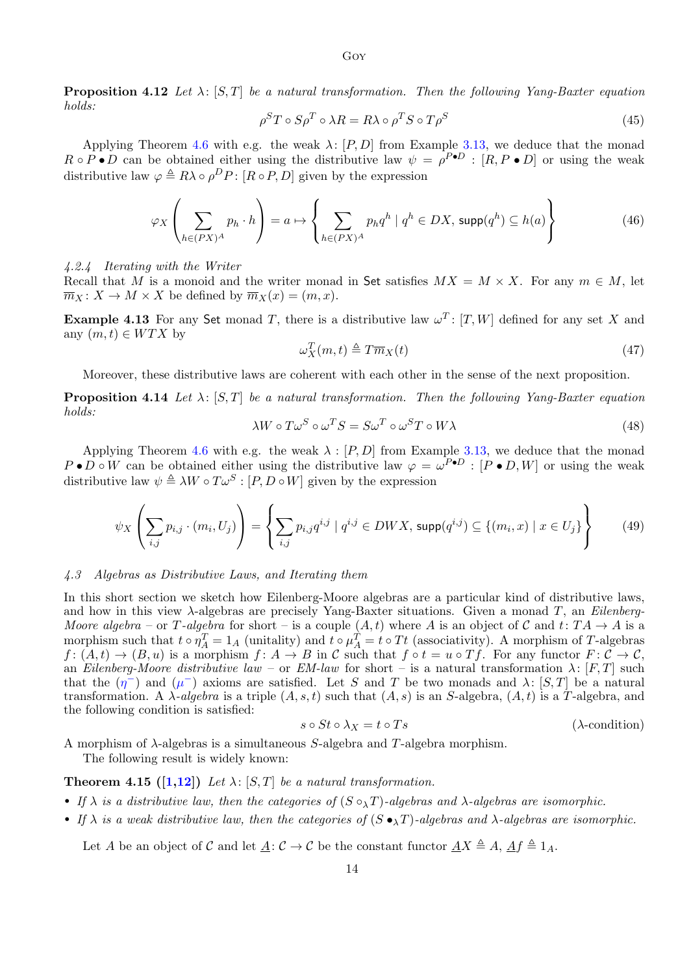**Proposition 4.12** Let  $\lambda$ : [S,T] be a natural transformation. Then the following Yang-Baxter equation holds:

$$
\rho^S T \circ S \rho^T \circ \lambda R = R \lambda \circ \rho^T S \circ T \rho^S \tag{45}
$$

Applying Theorem [4.6](#page-11-0) with e.g. the weak  $\lambda: [P, D]$  from Example [3.13,](#page-7-3) we deduce that the monad  $R \circ P \bullet D$  can be obtained either using the distributive law  $\psi = \rho^{P \bullet D} : [R, P \bullet D]$  or using the weak distributive law  $\varphi \triangleq R\lambda \circ \rho^D P$ :  $[R \circ P, D]$  given by the expression

$$
\varphi_X \left( \sum_{h \in (PX)^A} p_h \cdot h \right) = a \mapsto \left\{ \sum_{h \in (PX)^A} p_h q^h \mid q^h \in DX, \, \text{supp}(q^h) \subseteq h(a) \right\} \tag{46}
$$

4.2.4 Iterating with the Writer

Recall that M is a monoid and the writer monad in Set satisfies  $MX = M \times X$ . For any  $m \in M$ , let  $\overline{m}_X : X \to M \times X$  be defined by  $\overline{m}_X(x) = (m, x)$ .

<span id="page-13-4"></span>**Example 4.13** For any Set monad T, there is a distributive law  $\omega^T$ : [T, W] defined for any set X and any  $(m, t) \in WTX$  by

$$
\omega_X^T(m,t) \triangleq T\overline{m}_X(t) \tag{47}
$$

Moreover, these distributive laws are coherent with each other in the sense of the next proposition.

<span id="page-13-5"></span>**Proposition 4.14** Let  $\lambda$ : [S, T] be a natural transformation. Then the following Yang-Baxter equation holds:

$$
\lambda W \circ T \omega^S \circ \omega^T S = S \omega^T \circ \omega^S T \circ W \lambda \tag{48}
$$

Applying Theorem [4.6](#page-11-0) with e.g. the weak  $\lambda : [P, D]$  from Example [3.13,](#page-7-3) we deduce that the monad  $P \bullet D \circ W$  can be obtained either using the distributive law  $\varphi = \omega^{P \bullet D} : [P \bullet D, W]$  or using the weak distributive law  $\psi \triangleq \lambda W \circ T \omega^{S} : [P, D \circ W]$  given by the expression

$$
\psi_X \left( \sum_{i,j} p_{i,j} \cdot (m_i, U_j) \right) = \left\{ \sum_{i,j} p_{i,j} q^{i,j} \mid q^{i,j} \in DWX, \, \text{supp}(q^{i,j}) \subseteq \{ (m_i, x) \mid x \in U_j \} \right\} \tag{49}
$$

#### <span id="page-13-0"></span>4.3 Algebras as Distributive Laws, and Iterating them

In this short section we sketch how Eilenberg-Moore algebras are a particular kind of distributive laws, and how in this view  $\lambda$ -algebras are precisely Yang-Baxter situations. Given a monad T, an *Eilenberg*-Moore algebra – or T-algebra for short – is a couple  $(A, t)$  where A is an object of C and  $t: TA \rightarrow A$  is a morphism such that  $t \circ \eta_A^T = 1_A$  (unitality) and  $t \circ \mu_A^T = t \circ Tt$  (associativity). A morphism of T-algebras  $f: (\mathring{A}, t) \to (B, u)$  is a morphism  $f: A \to B$  in C such that  $f \circ t = u \circ Tf$ . For any functor  $F: \mathring{\mathcal{C}} \to \mathring{\mathcal{C}}$ , an Eilenberg-Moore distributive law – or  $EM$ -law for short – is a natural transformation  $\lambda$ :  $[F, T]$  such that the  $(\eta^{-})$  and  $(\mu^{-})$  axioms are satisfied. Let S and T be two monads and  $\lambda$ :  $[S,T]$  be a natural transformation. A  $\lambda$ -algebra is a triple  $(A, s, t)$  such that  $(A, s)$  is an S-algebra,  $(A, t)$  is a T-algebra, and the following condition is satisfied:

<span id="page-13-2"></span>
$$
s \circ St \circ \lambda_X = t \circ Ts \tag{~\lambda\text{-condition}}
$$

A morphism of  $\lambda$ -algebras is a simultaneous S-algebra and T-algebra morphism.

The following result is widely known:

## <span id="page-13-3"></span>**Theorem 4.15 ([\[1](#page-15-0)[,12\]](#page-15-7))** Let  $\lambda$ : [S, T] be a natural transformation.

- If  $\lambda$  is a distributive law, then the categories of  $(S \circ_{\lambda} T)$ -algebras and  $\lambda$ -algebras are isomorphic.
- If  $\lambda$  is a weak distributive law, then the categories of  $(S \bullet_{\lambda} T)$ -algebras and  $\lambda$ -algebras are isomorphic.

<span id="page-13-1"></span>Let A be an object of C and let  $A: \mathcal{C} \to \mathcal{C}$  be the constant functor  $AX \triangleq A$ ,  $Af \triangleq 1_A$ .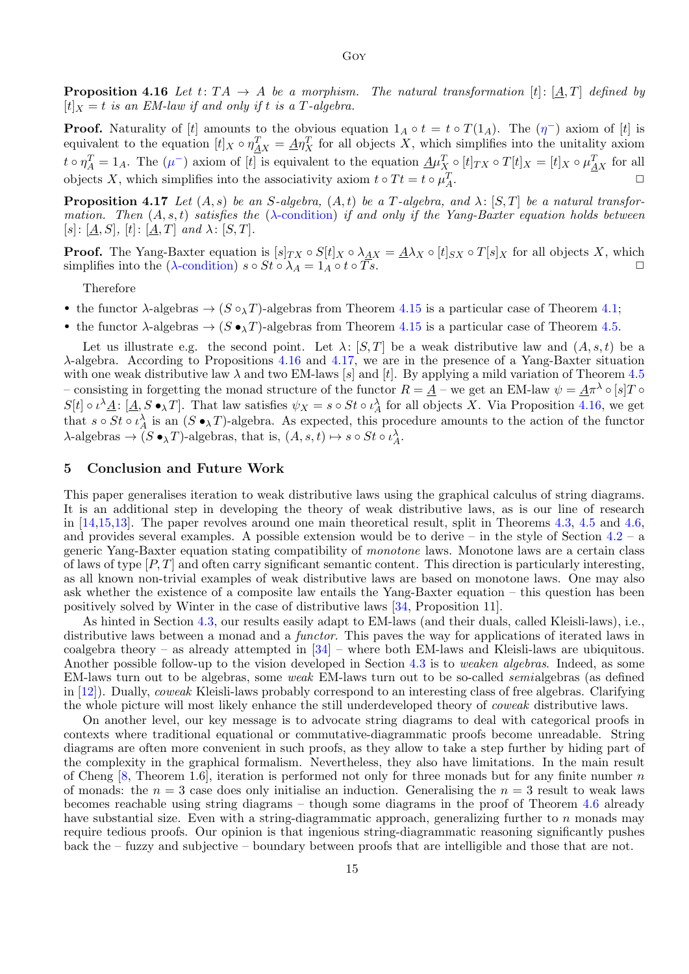**Proposition 4.16** Let  $t: TA \rightarrow A$  be a morphism. The natural transformation  $[t]: [A, T]$  defined by  $[t]_X = t$  is an EM-law if and only if t is a T-algebra.

**Proof.** Naturality of [t] amounts to the obvious equation  $1_A \circ t = t \circ T(1_A)$ . The  $(\eta^{-})$  axiom of [t] is equivalent to the equation  $[t]_X \circ \eta_X^T = \underline{A} \eta_X^T$  for all objects X, which simplifies into the unitality axiom  $t \circ \eta_A^T = 1_A$ . The  $(\mu^-)$  axiom of [t] is equivalent to the equation  $\underline{A} \mu_X^T \circ [t]_{TX} \circ T[t]_X = [t]_X \circ \mu_{\underline{A}X}^T$  for all objects X, which simplifies into the associativity axiom  $t \circ Tt = t \circ \mu_A^T$ .  $\Box$ 

<span id="page-14-0"></span>**Proposition 4.17** Let  $(A, s)$  be an S-algebra,  $(A, t)$  be a T-algebra, and  $\lambda$ :  $[S, T]$  be a natural transformation. Then  $(A, s, t)$  satisfies the  $(\lambda$ [-condition\)](#page-13-2) if and only if the Yang-Baxter equation holds between  $|s|: |\underline{A}, S|, |t|: |\underline{A}, T|$  and  $\lambda: |S, T|.$ 

**Proof.** The Yang-Baxter equation is  $[s]_{TX} \circ S[t]_{X} \circ \lambda_{AX} = A\lambda_{X} \circ [t]_{SX} \circ T[s]_{X}$  for all objects X, which simplifies into the ( $\lambda$ [-condition\)](#page-13-2)  $s \circ St \circ \lambda_A = 1_A \circ t \circ \overline{Ts}$ .

Therefore

• the functor  $\lambda$ -algebras  $\rightarrow$  ( $S \circ_{\lambda} T$ )-algebras from Theorem [4.15](#page-13-3) is a particular case of Theorem [4.1;](#page-8-0)

• the functor  $\lambda$ -algebras  $\rightarrow$  ( $S \bullet_{\lambda} T$ )-algebras from Theorem [4.15](#page-13-3) is a particular case of Theorem [4.5.](#page-10-0)

Let us illustrate e.g. the second point. Let  $\lambda: [S, T]$  be a weak distributive law and  $(A, s, t)$  be a λ-algebra. According to Propositions [4.16](#page-13-1) and [4.17,](#page-14-0) we are in the presence of a Yang-Baxter situation with one weak distributive law  $\lambda$  and two EM-laws [s] and [t]. By applying a mild variation of Theorem [4.5](#page-10-0) – consisting in forgetting the monad structure of the functor  $R = \underline{A}$  – we get an EM-law  $\psi = \underline{A}\pi^{\lambda} \circ [s]T \circ \pi$  $S[t] \circ \iota^{\lambda} \underline{A} : [\underline{A}, S \bullet_{\lambda} T]$ . That law satisfies  $\psi_X = s \circ St \circ \iota_A^{\lambda}$  for all objects X. Via Proposition [4.16,](#page-13-1) we get that  $s \circ St \circ \iota_A^{\lambda}$  is an  $(S \bullet_{\lambda} T)$ -algebra. As expected, this procedure amounts to the action of the functor  $\lambda$ -algebras  $\to (S \bullet_\lambda T)$ -algebras, that is,  $(A, s, t) \mapsto s \circ St \circ \iota_A^{\lambda}$ .

## 5 Conclusion and Future Work

This paper generalises iteration to weak distributive laws using the graphical calculus of string diagrams. It is an additional step in developing the theory of weak distributive laws, as is our line of research in  $[14,15,13]$  $[14,15,13]$  $[14,15,13]$ . The paper revolves around one main theoretical result, split in Theorems [4.3,](#page-9-0) [4.5](#page-10-0) and [4.6,](#page-11-0) and provides several examples. A possible extension would be to derive – in the style of Section  $4.2 - a$  $4.2 - a$ generic Yang-Baxter equation stating compatibility of monotone laws. Monotone laws are a certain class of laws of type  $[P, T]$  and often carry significant semantic content. This direction is particularly interesting, as all known non-trivial examples of weak distributive laws are based on monotone laws. One may also ask whether the existence of a composite law entails the Yang-Baxter equation – this question has been positively solved by Winter in the case of distributive laws [\[34,](#page-16-15) Proposition 11].

As hinted in Section [4.3,](#page-13-0) our results easily adapt to EM-laws (and their duals, called Kleisli-laws), i.e., distributive laws between a monad and a *functor*. This paves the way for applications of iterated laws in coalgebra theory – as already attempted in [\[34\]](#page-16-15) – where both EM-laws and Kleisli-laws are ubiquitous. Another possible follow-up to the vision developed in Section [4.3](#page-13-0) is to weaken algebras. Indeed, as some EM-laws turn out to be algebras, some weak EM-laws turn out to be so-called semialgebras (as defined in [\[12\]](#page-15-7)). Dually, coweak Kleisli-laws probably correspond to an interesting class of free algebras. Clarifying the whole picture will most likely enhance the still underdeveloped theory of coweak distributive laws.

On another level, our key message is to advocate string diagrams to deal with categorical proofs in contexts where traditional equational or commutative-diagrammatic proofs become unreadable. String diagrams are often more convenient in such proofs, as they allow to take a step further by hiding part of the complexity in the graphical formalism. Nevertheless, they also have limitations. In the main result of Cheng  $[8,$  Theorem 1.6, iteration is performed not only for three monads but for any finite number n of monads: the  $n = 3$  case does only initialise an induction. Generalising the  $n = 3$  result to weak laws becomes reachable using string diagrams – though some diagrams in the proof of Theorem [4.6](#page-11-0) already have substantial size. Even with a string-diagrammatic approach, generalizing further to  $n$  monads may require tedious proofs. Our opinion is that ingenious string-diagrammatic reasoning significantly pushes back the – fuzzy and subjective – boundary between proofs that are intelligible and those that are not.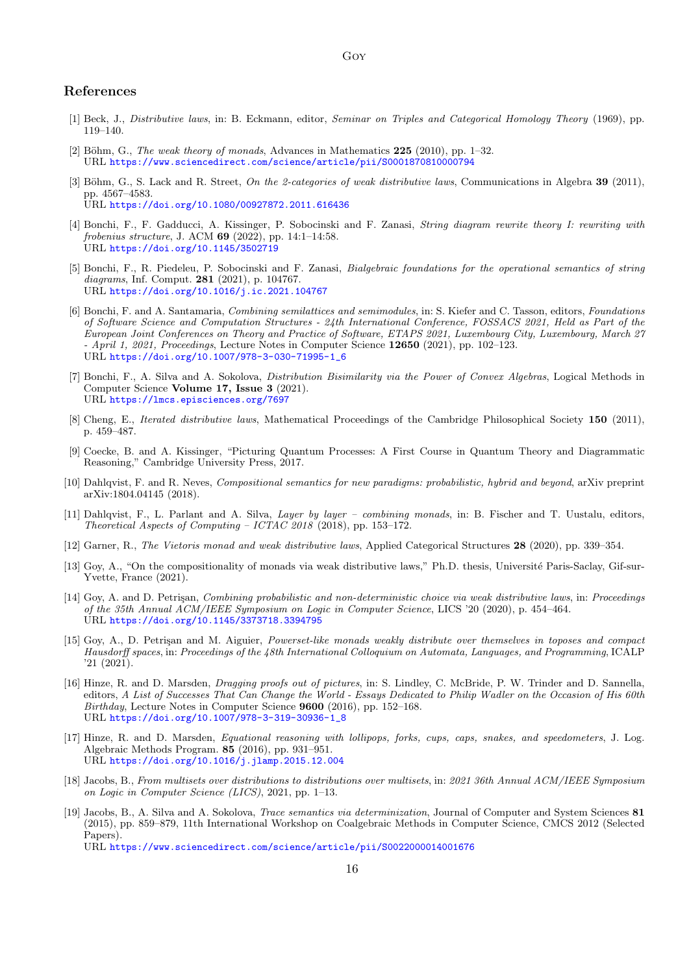## References

- <span id="page-15-0"></span>[1] Beck, J., Distributive laws, in: B. Eckmann, editor, Seminar on Triples and Categorical Homology Theory (1969), pp. 119–140.
- <span id="page-15-8"></span>[2] Böhm, G., The weak theory of monads, Advances in Mathematics  $225$  (2010), pp. 1–32. URL <https://www.sciencedirect.com/science/article/pii/S0001870810000794>
- <span id="page-15-9"></span>[3] Böhm, G., S. Lack and R. Street, On the 2-categories of weak distributive laws, Communications in Algebra 39 (2011), pp. 4567–4583. URL <https://doi.org/10.1080/00927872.2011.616436>
- <span id="page-15-15"></span>[4] Bonchi, F., F. Gadducci, A. Kissinger, P. Sobocinski and F. Zanasi, String diagram rewrite theory I: rewriting with frobenius structure, J. ACM 69 (2022), pp. 14:1–14:58. URL <https://doi.org/10.1145/3502719>
- <span id="page-15-14"></span>[5] Bonchi, F., R. Piedeleu, P. Sobocinski and F. Zanasi, Bialgebraic foundations for the operational semantics of string diagrams, Inf. Comput. 281 (2021), p. 104767. URL <https://doi.org/10.1016/j.ic.2021.104767>
- <span id="page-15-12"></span>[6] Bonchi, F. and A. Santamaria, Combining semilattices and semimodules, in: S. Kiefer and C. Tasson, editors, Foundations of Software Science and Computation Structures - 24th International Conference, FOSSACS 2021, Held as Part of the European Joint Conferences on Theory and Practice of Software, ETAPS 2021, Luxembourg City, Luxembourg, March 27  $-$  April 1, 2021, Proceedings, Lecture Notes in Computer Science 12650 (2021), pp. 102–123. URL [https://doi.org/10.1007/978-3-030-71995-1\\_6](https://doi.org/10.1007/978-3-030-71995-1_6)
- <span id="page-15-3"></span>[7] Bonchi, F., A. Silva and A. Sokolova, *Distribution Bisimilarity via the Power of Convex Algebras*, Logical Methods in Computer Science Volume 17, Issue 3 (2021). URL <https://lmcs.episciences.org/7697>
- <span id="page-15-5"></span>[8] Cheng, E., *Iterated distributive laws*, Mathematical Proceedings of the Cambridge Philosophical Society 150 (2011), p. 459–487.
- <span id="page-15-13"></span>[9] Coecke, B. and A. Kissinger, "Picturing Quantum Processes: A First Course in Quantum Theory and Diagrammatic Reasoning," Cambridge University Press, 2017.
- <span id="page-15-6"></span>[10] Dahlqvist, F. and R. Neves, Compositional semantics for new paradigms: probabilistic, hybrid and beyond, arXiv preprint arXiv:1804.04145 (2018).
- <span id="page-15-4"></span>[11] Dahlqvist, F., L. Parlant and A. Silva, Layer by layer – combining monads, in: B. Fischer and T. Uustalu, editors, Theoretical Aspects of Computing – ICTAC 2018 (2018), pp. 153–172.
- <span id="page-15-7"></span>[12] Garner, R., The Vietoris monad and weak distributive laws, Applied Categorical Structures 28 (2020), pp. 339–354.
- <span id="page-15-18"></span>[13] Goy, A., "On the compositionality of monads via weak distributive laws," Ph.D. thesis, Université Paris-Saclay, Gif-sur-Yvette, France (2021).
- <span id="page-15-10"></span>[14] Goy, A. and D. Petrisan, *Combining probabilistic and non-deterministic choice via weak distributive laws*, in: *Proceedings* of the 35th Annual ACM/IEEE Symposium on Logic in Computer Science, LICS '20 (2020), p. 454–464. URL <https://doi.org/10.1145/3373718.3394795>
- <span id="page-15-11"></span>[15] Goy, A., D. Petrisan and M. Aiguier, *Powerset-like monads weakly distribute over themselves in toposes and compact* Hausdorff spaces, in: Proceedings of the 48th International Colloquium on Automata, Languages, and Programming, ICALP '21 (2021).
- <span id="page-15-17"></span>[16] Hinze, R. and D. Marsden, *Dragging proofs out of pictures*, in: S. Lindley, C. McBride, P. W. Trinder and D. Sannella, editors, A List of Successes That Can Change the World - Essays Dedicated to Philip Wadler on the Occasion of His 60th Birthday, Lecture Notes in Computer Science 9600 (2016), pp. 152–168. URL [https://doi.org/10.1007/978-3-319-30936-1\\_8](https://doi.org/10.1007/978-3-319-30936-1_8)
- <span id="page-15-16"></span>[17] Hinze, R. and D. Marsden, Equational reasoning with lollipops, forks, cups, caps, snakes, and speedometers, J. Log. Algebraic Methods Program. 85 (2016), pp. 931–951. URL <https://doi.org/10.1016/j.jlamp.2015.12.004>
- <span id="page-15-1"></span>[18] Jacobs, B., From multisets over distributions to distributions over multisets, in: 2021 36th Annual ACM/IEEE Symposium on Logic in Computer Science (LICS), 2021, pp. 1–13.
- <span id="page-15-2"></span>[19] Jacobs, B., A. Silva and A. Sokolova, Trace semantics via determinization, Journal of Computer and System Sciences 81 (2015), pp. 859–879, 11th International Workshop on Coalgebraic Methods in Computer Science, CMCS 2012 (Selected Papers). URL <https://www.sciencedirect.com/science/article/pii/S0022000014001676>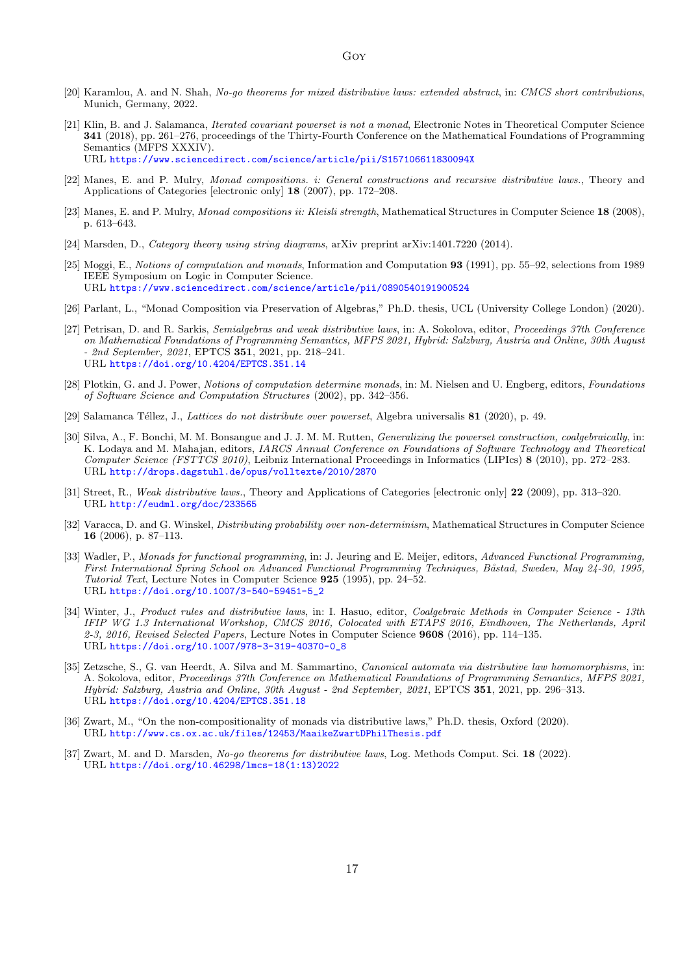- <span id="page-16-17"></span>[20] Karamlou, A. and N. Shah, No-go theorems for mixed distributive laws: extended abstract, in: CMCS short contributions, Munich, Germany, 2022.
- <span id="page-16-9"></span>[21] Klin, B. and J. Salamanca, Iterated covariant powerset is not a monad, Electronic Notes in Theoretical Computer Science 341 (2018), pp. 261–276, proceedings of the Thirty-Fourth Conference on the Mathematical Foundations of Programming Semantics (MFPS XXXIV). URL <https://www.sciencedirect.com/science/article/pii/S157106611830094X>
- <span id="page-16-3"></span>[22] Manes, E. and P. Mulry, Monad compositions. i: General constructions and recursive distributive laws., Theory and Applications of Categories [electronic only] 18 (2007), pp. 172–208.
- <span id="page-16-4"></span>[23] Manes, E. and P. Mulry, *Monad compositions ii: Kleisli strength*, Mathematical Structures in Computer Science 18 (2008), p. 613–643.
- <span id="page-16-16"></span>[24] Marsden, D., Category theory using string diagrams, arXiv preprint arXiv:1401.7220 (2014).
- <span id="page-16-0"></span>[25] Moggi, E., Notions of computation and monads, Information and Computation 93 (1991), pp. 55–92, selections from 1989 IEEE Symposium on Logic in Computer Science. URL <https://www.sciencedirect.com/science/article/pii/0890540191900524>
- <span id="page-16-7"></span>[26] Parlant, L., "Monad Composition via Preservation of Algebras," Ph.D. thesis, UCL (University College London) (2020).
- <span id="page-16-14"></span>[27] Petrisan, D. and R. Sarkis, Semialgebras and weak distributive laws, in: A. Sokolova, editor, Proceedings 37th Conference on Mathematical Foundations of Programming Semantics, MFPS 2021, Hybrid: Salzburg, Austria and Online, 30th August - 2nd September, 2021, EPTCS 351, 2021, pp. 218–241. URL <https://doi.org/10.4204/EPTCS.351.14>
- <span id="page-16-1"></span>[28] Plotkin, G. and J. Power, Notions of computation determine monads, in: M. Nielsen and U. Engberg, editors, Foundations of Software Science and Computation Structures (2002), pp. 342–356.
- <span id="page-16-11"></span>[29] Salamanca Téllez, J., Lattices do not distribute over powerset, Algebra universalis 81 (2020), p. 49.
- <span id="page-16-5"></span>[30] Silva, A., F. Bonchi, M. M. Bonsangue and J. J. M. M. Rutten, *Generalizing the powerset construction, coalgebraically*, in: K. Lodaya and M. Mahajan, editors, IARCS Annual Conference on Foundations of Software Technology and Theoretical Computer Science (FSTTCS 2010), Leibniz International Proceedings in Informatics (LIPIcs) 8 (2010), pp. 272–283. URL <http://drops.dagstuhl.de/opus/volltexte/2010/2870>
- <span id="page-16-13"></span>[31] Street, R., Weak distributive laws., Theory and Applications of Categories [electronic only] 22 (2009), pp. 313–320. URL <http://eudml.org/doc/233565>
- <span id="page-16-8"></span>[32] Varacca, D. and G. Winskel, *Distributing probability over non-determinism*, Mathematical Structures in Computer Science 16 (2006), p. 87–113.
- <span id="page-16-2"></span>[33] Wadler, P., Monads for functional programming, in: J. Jeuring and E. Meijer, editors, Advanced Functional Programming, First International Spring School on Advanced Functional Programming Techniques, Båstad, Sweden, May 24-30, 1995, Tutorial Text, Lecture Notes in Computer Science 925 (1995), pp. 24–52. URL [https://doi.org/10.1007/3-540-59451-5\\_2](https://doi.org/10.1007/3-540-59451-5_2)
- <span id="page-16-15"></span>[34] Winter, J., Product rules and distributive laws, in: I. Hasuo, editor, Coalgebraic Methods in Computer Science - 13th IFIP WG 1.3 International Workshop, CMCS 2016, Colocated with ETAPS 2016, Eindhoven, The Netherlands, April 2-3, 2016, Revised Selected Papers, Lecture Notes in Computer Science 9608 (2016), pp. 114–135. URL [https://doi.org/10.1007/978-3-319-40370-0\\_8](https://doi.org/10.1007/978-3-319-40370-0_8)
- <span id="page-16-6"></span>[35] Zetzsche, S., G. van Heerdt, A. Silva and M. Sammartino, Canonical automata via distributive law homomorphisms, in: A. Sokolova, editor, Proceedings 37th Conference on Mathematical Foundations of Programming Semantics, MFPS 2021, Hybrid: Salzburg, Austria and Online, 30th August - 2nd September, 2021, EPTCS 351, 2021, pp. 296–313. URL <https://doi.org/10.4204/EPTCS.351.18>
- <span id="page-16-10"></span>[36] Zwart, M., "On the non-compositionality of monads via distributive laws," Ph.D. thesis, Oxford (2020). URL <http://www.cs.ox.ac.uk/files/12453/MaaikeZwartDPhilThesis.pdf>
- <span id="page-16-12"></span>[37] Zwart, M. and D. Marsden, No-go theorems for distributive laws, Log. Methods Comput. Sci. 18 (2022). URL [https://doi.org/10.46298/lmcs-18\(1:13\)2022](https://doi.org/10.46298/lmcs-18(1:13)2022)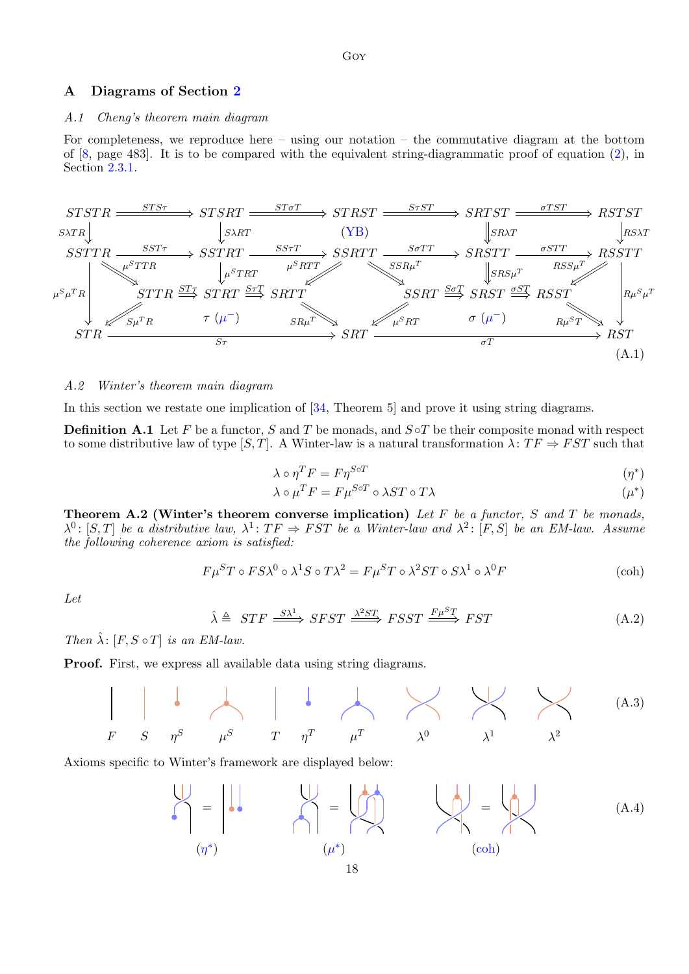## <span id="page-17-0"></span>A Diagrams of Section [2](#page-2-0)

### A.1 Cheng's theorem main diagram

For completeness, we reproduce here – using our notation – the commutative diagram at the bottom of [\[8,](#page-15-5) page 483]. It is to be compared with the equivalent string-diagrammatic proof of equation [\(2\)](#page-3-1), in Section [2.3.1.](#page-3-2)



#### <span id="page-17-1"></span>A.2 Winter's theorem main diagram

In this section we restate one implication of [\[34,](#page-16-15) Theorem 5] and prove it using string diagrams.

<span id="page-17-2"></span>**Definition A.1** Let F be a functor, S and T be monads, and  $S \circ T$  be their composite monad with respect to some distributive law of type [S, T]. A Winter-law is a natural transformation  $\lambda: TF \Rightarrow FST$  such that

$$
\lambda \circ \eta^T F = F \eta^{S \circ T} \tag{1*}
$$

<span id="page-17-3"></span>
$$
\lambda \circ \mu^T F = F \mu^{S \circ T} \circ \lambda S T \circ T \lambda \tag{1*}
$$

**Theorem A.2 (Winter's theorem converse implication)** Let  $F$  be a functor,  $S$  and  $T$  be monads,  $\lambda^0$ : [S, T] be a distributive law,  $\lambda^1$ : TF  $\Rightarrow$  FST be a Winter-law and  $\lambda^2$ : [F, S] be an EM-law. Assume the following coherence axiom is satisfied:

$$
F\mu^ST \circ FS\lambda^0 \circ \lambda^1S \circ T\lambda^2 = F\mu^ST \circ \lambda^2ST \circ S\lambda^1 \circ \lambda^0F
$$
 (coh)

Let

$$
\hat{\lambda} \triangleq STF \xrightarrow{S\lambda^1} SFST \xrightarrow{\lambda^2 ST} FSST \xrightarrow{F\mu^ST} FST
$$
\n(A.2)

Then  $\hat{\lambda}$ :  $[F, S \circ T]$  is an EM-law.

Proof. First, we express all available data using string diagrams.



Axioms specific to Winter's framework are displayed below:

$$
\begin{pmatrix}\n\vdots \\
\eta^*\n\end{pmatrix} = \begin{pmatrix}\n\vdots \\
\eta^*\n\end{pmatrix} = \begin{pmatrix}\n\vdots \\
\eta^*\n\end{pmatrix} = \begin{pmatrix}\n\vdots \\
\eta^*\n\end{pmatrix} = \begin{pmatrix}\n\vdots \\
\eta^*\n\end{pmatrix}
$$
\n(A.4)\n  
\n(A.5)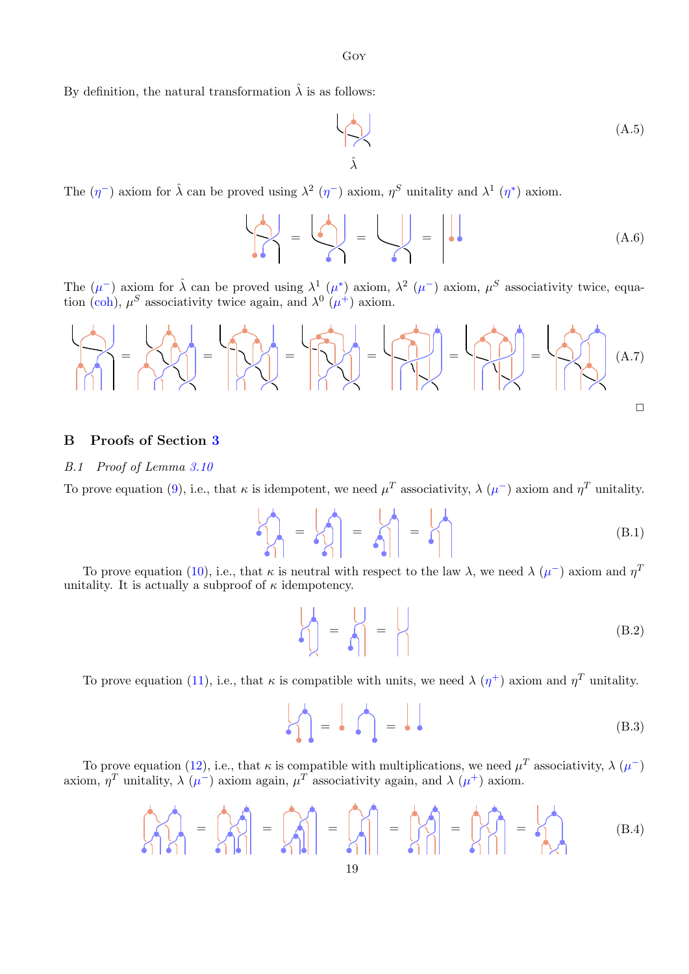Goy

By definition, the natural transformation  $\hat{\lambda}$  is as follows:

$$
\begin{matrix} \downarrow \\ \downarrow \downarrow \end{matrix} \tag{A.5}
$$

The  $(\eta^-)$  axiom for  $\hat{\lambda}$  can be proved using  $\lambda^2$   $(\eta^-)$  axiom,  $\eta^S$  unitality and  $\lambda^1$   $(\eta^*)$  axiom.

$$
\left| \bigcap_{A=0}^{\infty} \right| = \left| \bigcap_{A=0}^{\infty} \right| = \left| \bigcap_{A=0}^{\infty} \right| = \left| \bigcap_{A=0}^{\infty} \right|
$$
 (A.6)

The  $(\mu^-)$  axiom for  $\hat{\lambda}$  can be proved using  $\lambda^1$   $(\mu^*)$  axiom,  $\lambda^2$   $(\mu^-)$  axiom,  $\mu^S$  associativity twice, equa-tion [\(coh\)](#page-17-3),  $\mu^S$  associativity twice again, and  $\lambda^0$  ( $\mu^+$ ) axiom.

$$
\left|\frac{1}{\gamma\gamma}\right|=\left|\frac{1}{\gamma\gamma\gamma}\right|=\left|\frac{1}{\gamma\gamma\gamma\gamma}\right|=\left|\frac{1}{\gamma\gamma\gamma\gamma}\right|=\left|\frac{1}{\gamma\gamma\gamma\gamma}\right|_{(A.7)}
$$

## <span id="page-18-0"></span>B Proofs of Section [3](#page-4-0)

#### B.1 Proof of Lemma [3.10](#page-5-0)

To prove equation [\(9\)](#page-5-4), i.e., that  $\kappa$  is idempotent, we need  $\mu^T$  associativity,  $\lambda(\mu^-)$  axiom and  $\eta^T$  unitality.

$$
\begin{bmatrix} 1 \\ 1 \\ 0 \end{bmatrix} = \begin{bmatrix} 1 \\ 1 \\ 0 \end{bmatrix} = \begin{bmatrix} 1 \\ 1 \\ 0 \end{bmatrix} = \begin{bmatrix} 1 \\ 1 \\ 1 \end{bmatrix} \tag{B.1}
$$

To prove equation [\(10\)](#page-5-5), i.e., that  $\kappa$  is neutral with respect to the law  $\lambda$ , we need  $\lambda$  ( $\mu^-$ ) axiom and  $\eta^T$ unitality. It is actually a subproof of  $\kappa$  idempotency.

$$
\left| \begin{matrix} 1 \\ 1 \\ 1 \end{matrix} \right| = \left| \begin{matrix} 1 \\ 1 \\ 1 \end{matrix} \right| = \left| \begin{matrix} 1 \\ 1 \\ 1 \end{matrix} \right| = \left| \begin{matrix} 1 \\ 1 \end{matrix} \right| = \left| \begin{matrix} 1 \\ 1 \end{matrix} \right| = \left| \begin{matrix} 1 \\ 1 \end{matrix} \right| = \left| \begin{matrix} 1 \\ 1 \end{matrix} \right| = \left| \begin{matrix} 1 \\ 1 \end{matrix} \right| = \left| \begin{matrix} 1 \\ 1 \end{matrix} \right| = \left| \begin{matrix} 1 \\ 1 \end{matrix} \right| = \left| \begin{matrix} 1 \\ 1 \end{matrix} \right| = \left| \begin{matrix} 1 \\ 1 \end{matrix} \right| = \left| \begin{matrix} 1 \\ 1 \end{matrix} \right| = \left| \begin{matrix} 1 \\ 1 \end{matrix} \right| = \left| \begin{matrix} 1 \\ 1 \end{matrix} \right| = \left| \begin{matrix} 1 \\ 1 \end{matrix} \right| = \left| \begin{matrix} 1 \\ 1 \end{matrix} \right| = \left| \begin{matrix} 1 \\ 1 \end{matrix} \right| = \left| \begin{matrix} 1 \\ 1 \end{matrix} \right| = \left| \begin{matrix} 1 \\ 1 \end{matrix} \right| = \left| \begin{matrix} 1 \\ 1 \end{matrix} \right| = \left| \begin{matrix} 1 \\ 1 \end{matrix} \right| = \left| \begin{matrix} 1 \\ 1 \end{matrix} \right| = \left| \begin{matrix} 1 \\ 1 \end{matrix} \right| = \left| \begin{matrix} 1 \\ 1 \end{matrix} \right| = \left| \begin{matrix} 1 \\ 1 \end{matrix} \right| = \left| \begin{matrix} 1 \\ 1 \end{matrix} \right| = \left| \begin{matrix} 1 \\ 1 \end{matrix} \right| = \left| \begin{matrix} 1 \\ 1 \end{matrix} \right| = \left| \begin{matrix} 1 \\ 1 \end{matrix} \right| = \left| \begin{matrix} 1 \\ 1 \end{matrix} \right| = \left| \begin{matrix} 1 \\ 1 \end{matrix} \right| = \left| \begin{matrix} 1 \\ 1 \end{matrix} \right| = \left| \begin{matrix} 1 \\ 1 \end{matrix} \right| = \left|
$$

To prove equation [\(11\)](#page-5-2), i.e., that  $\kappa$  is compatible with units, we need  $\lambda(\eta^+)$  axiom and  $\eta^T$  unitality.

$$
\begin{pmatrix} 1 \\ 1 \end{pmatrix} = \begin{pmatrix} 1 \\ 1 \end{pmatrix} = \begin{pmatrix} 1 \\ 1 \end{pmatrix} \tag{B.3}
$$

To prove equation [\(12\)](#page-5-3), i.e., that  $\kappa$  is compatible with multiplications, we need  $\mu^T$  associativity,  $\lambda(\mu^-)$ axiom,  $\eta^T$  unitality,  $\lambda (\mu^-)$  axiom again,  $\mu^T$  associativity again, and  $\lambda (\mu^+)$  axiom.

$$
\begin{bmatrix} A & A \\ A & B \end{bmatrix} = \begin{bmatrix} A & A \\ A & B \end{bmatrix} = \begin{bmatrix} A & A \\ A & B \end{bmatrix} = \begin{bmatrix} A & A \\ A & B \end{bmatrix} = \begin{bmatrix} A & A \\ A & B \end{bmatrix} \quad (B.4)
$$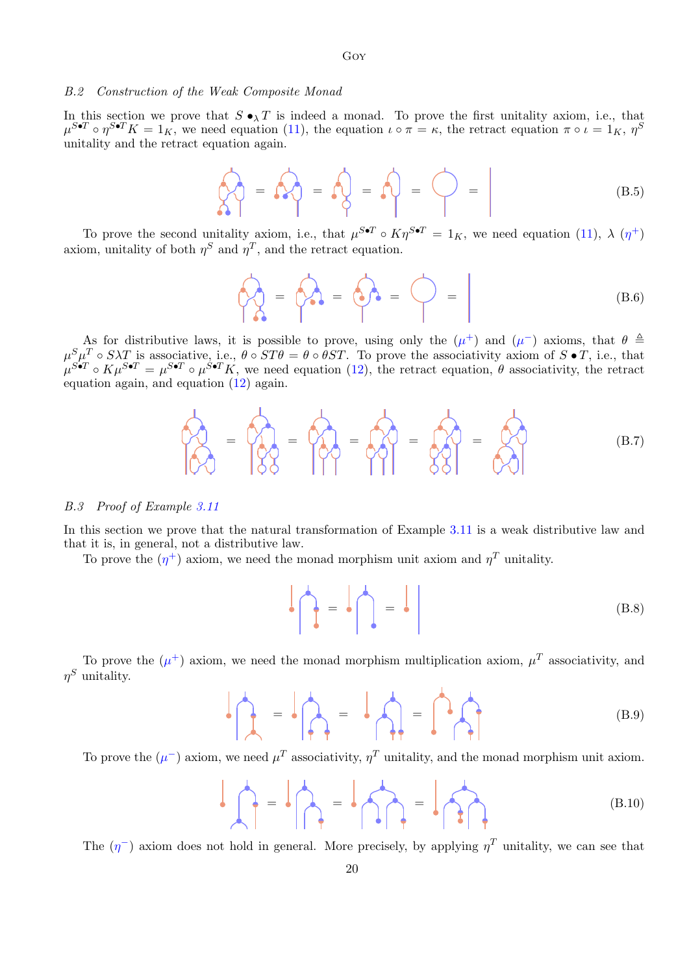#### B.2 Construction of the Weak Composite Monad

In this section we prove that  $S \bullet_\lambda T$  is indeed a monad. To prove the first unitality axiom, i.e., that  $\mu^{S\bullet T} \circ \eta^{S\bullet T} K = 1_K$ , we need equation [\(11\)](#page-5-2), the equation  $\iota \circ \pi = \kappa$ , the retract equation  $\pi \circ \iota = 1_K$ ,  $\eta^S$ unitality and the retract equation again.

Goy

$$
\bigcirc \{ \bigcirc \} = \bigcirc \{ \bigcirc \} = \bigcirc \} = \bigcirc = \bigcirc = \bigcirc
$$
 (B.5)

To prove the second unitality axiom, i.e., that  $\mu^{S\bullet T} \circ K\eta^{S\bullet T} = 1_K$ , we need equation [\(11\)](#page-5-2),  $\lambda(\eta^+)$ axiom, unitality of both  $\eta^S$  and  $\eta^T$ , and the retract equation.

$$
\bigcirc \bigcirc \limits_{\Lambda \bullet} = \bigcirc \bigcirc \limits_{\Lambda \bullet} = \bigcirc \bigcirc = \bigcirc
$$
 (B.6)

As for distributive laws, it is possible to prove, using only the  $(\mu^+)$  and  $(\mu^-)$  axioms, that  $\theta \triangleq$  $\mu^S \mu^T \circ S \lambda T$  is associative, i.e.,  $\theta \circ ST\theta = \theta \circ \theta ST$ . To prove the associativity axiom of  $S \bullet T$ , i.e., that  $\mu^{S\bullet T} \circ K\mu^{S\bullet T} = \mu^{S\bullet T} \circ \mu^{S\bullet T} K$ , we need equation [\(12\)](#page-5-3), the retract equation,  $\theta$  associativity, the retract equation again, and equation [\(12\)](#page-5-3) again.

$$
\hat{P}_{\text{QQ}} = \hat{P}_{\text{QQ}} = \hat{P}_{\text{QQ}} = \hat{P}_{\text{QQ}} = \hat{P}_{\text{QQ}} = \hat{P}_{\text{QQ}} = \hat{P}_{\text{QQ}} \tag{B.7}
$$

#### B.3 Proof of Example [3.11](#page-6-1)

In this section we prove that the natural transformation of Example [3.11](#page-6-1) is a weak distributive law and that it is, in general, not a distributive law.

To prove the  $(\eta^+)$  axiom, we need the monad morphism unit axiom and  $\eta^T$  unitality.

$$
\left| \left| \left| \right|_{\mathcal{F}} \right| = \left| \left| \left| \left| \right|_{\mathcal{F}} \right|_{\mathcal{F}} \right| \right| \tag{B.8}
$$

To prove the  $(\mu^+)$  axiom, we need the monad morphism multiplication axiom,  $\mu^T$  associativity, and  $\eta^S$  unitality.

$$
\mathbf{B} = \mathbf{B} \mathbf{A} = \mathbf{B} \mathbf{A} = \mathbf{B} \mathbf{A} \mathbf{B}
$$
 (B.9)

To prove the  $(\mu^-)$  axiom, we need  $\mu^T$  associativity,  $\eta^T$  unitality, and the monad morphism unit axiom.

$$
\mathbf{B} = \mathbf{B} \mathbf{A} = \mathbf{B} \mathbf{A} = \mathbf{B} \mathbf{A} \mathbf{B}
$$
 (B.10)

The  $(\eta^-)$  axiom does not hold in general. More precisely, by applying  $\eta^T$  unitality, we can see that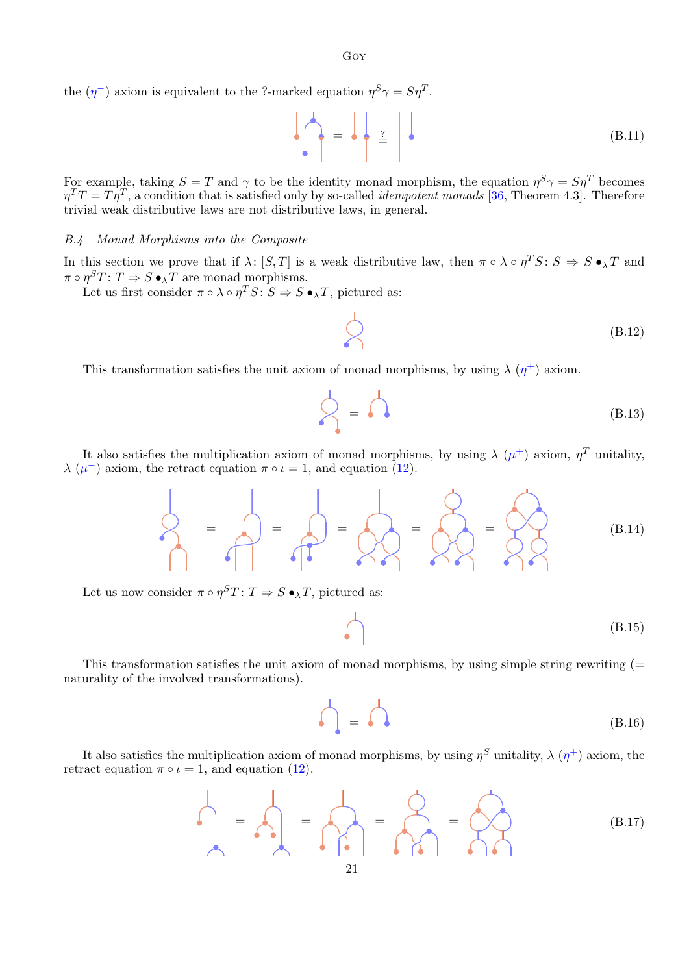Goy

the  $(\eta^-)$  axiom is equivalent to the ?-marked equation  $\eta^S \gamma = S \eta^T$ .

$$
\left| \bigcap_{i=1}^n A_i = \bigcap_{i=1}^n B_i
$$
 (B.11)

For example, taking  $S = T$  and  $\gamma$  to be the identity monad morphism, the equation  $\eta^S \gamma = S \eta^T$  becomes  $\eta^T T = T \eta^T$ , a condition that is satisfied only by so-called *idempotent monads* [\[36,](#page-16-10) Theorem 4.3]. Therefore trivial weak distributive laws are not distributive laws, in general.

#### B.4 Monad Morphisms into the Composite

In this section we prove that if  $\lambda: [S,T]$  is a weak distributive law, then  $\pi \circ \lambda \circ \eta^T S: S \Rightarrow S \bullet_\lambda T$  and  $\pi \circ \eta^S T \colon T \Rightarrow S \bullet_\lambda T$  are monad morphisms.

Let us first consider  $\pi \circ \lambda \circ \eta^T S : S \Rightarrow S \bullet_\lambda T$ , pictured as:

$$
\bigotimes \qquad \qquad (\text{B.12})
$$

This transformation satisfies the unit axiom of monad morphisms, by using  $\lambda(\eta^+)$  axiom.

$$
\bigotimes_{i=1}^{n} A_{i} \qquad (B.13)
$$

It also satisfies the multiplication axiom of monad morphisms, by using  $\lambda (\mu^+)$  axiom,  $\eta^T$  unitality,  $\lambda$  ( $\mu$ <sup>-</sup>) axiom, the retract equation  $\pi \circ \iota = 1$ , and equation [\(12\)](#page-5-3).

= = = = = (B.14)

Let us now consider  $\pi \circ \eta^S T$ :  $T \Rightarrow S \bullet_\lambda T$ , pictured as:

$$
\bigcap \qquad \qquad (B.15)
$$

This transformation satisfies the unit axiom of monad morphisms, by using simple string rewriting  $(=$ naturality of the involved transformations).

$$
\bigcap_{\bullet} = \bigcap_{\bullet} \qquad (B.16)
$$

It also satisfies the multiplication axiom of monad morphisms, by using  $\eta^S$  unitality,  $\lambda(\eta^+)$  axiom, the retract equation  $\pi \circ \iota = 1$ , and equation [\(12\)](#page-5-3).

$$
\frac{1}{2} = \frac{1}{2} \left( \frac{1}{2} \right) = \frac{1}{2} \left( \frac{1}{2} \right) = \frac{1}{2} \left( \frac{1}{2} \right) = \frac{1}{2} \left( \frac{1}{2} \right) = \frac{1}{2} \left( \frac{1}{2} \right) = \frac{1}{2} \left( \frac{1}{2} \right) = \frac{1}{2} \left( \frac{1}{2} \right) = \frac{1}{2} \left( \frac{1}{2} \right) = \frac{1}{2} \left( \frac{1}{2} \right) = \frac{1}{2} \left( \frac{1}{2} \right) = \frac{1}{2} \left( \frac{1}{2} \right) = \frac{1}{2} \left( \frac{1}{2} \right) = \frac{1}{2} \left( \frac{1}{2} \right) = \frac{1}{2} \left( \frac{1}{2} \right) = \frac{1}{2} \left( \frac{1}{2} \right) = \frac{1}{2} \left( \frac{1}{2} \right) = \frac{1}{2} \left( \frac{1}{2} \right) = \frac{1}{2} \left( \frac{1}{2} \right) = \frac{1}{2} \left( \frac{1}{2} \right) = \frac{1}{2} \left( \frac{1}{2} \right) = \frac{1}{2} \left( \frac{1}{2} \right) = \frac{1}{2} \left( \frac{1}{2} \right) = \frac{1}{2} \left( \frac{1}{2} \right) = \frac{1}{2} \left( \frac{1}{2} \right) = \frac{1}{2} \left( \frac{1}{2} \right) = \frac{1}{2} \left( \frac{1}{2} \right) = \frac{1}{2} \left( \frac{1}{2} \right) = \frac{1}{2} \left( \frac{1}{2} \right) = \frac{1}{2} \left( \frac{1}{2} \right) = \frac{1}{2} \left( \frac{1}{2} \right) = \frac{1}{2} \left( \frac{1}{2} \right) = \frac{1}{2} \left( \frac{1}{2} \right) = \frac{1}{2} \left( \frac{1}{2} \right) = \frac{1}{2} \left( \frac{1}{2} \right) = \frac{1}{2} \left( \frac{1}{2} \right) = \frac{1}{2} \left( \frac{1}{2}
$$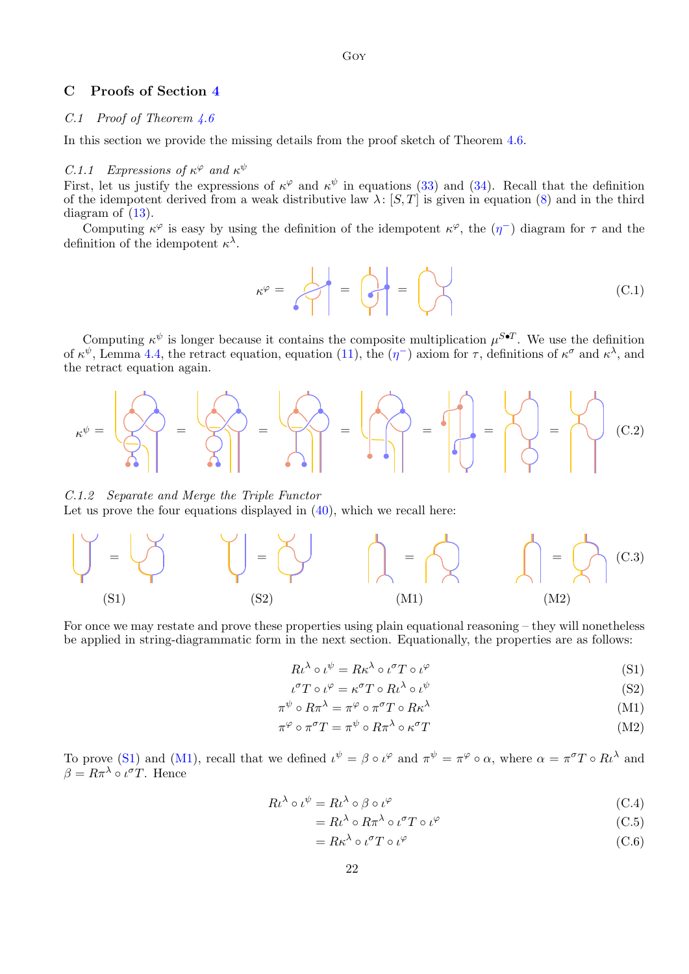## <span id="page-21-0"></span>C Proofs of Section [4](#page-7-0)

## C.1 Proof of Theorem [4.6](#page-11-0)

In this section we provide the missing details from the proof sketch of Theorem [4.6.](#page-11-0)

## C.1.1 Expressions of  $\kappa^{\varphi}$  and  $\kappa^{\psi}$

First, let us justify the expressions of  $\kappa^{\varphi}$  and  $\kappa^{\psi}$  in equations [\(33\)](#page-11-1) and [\(34\)](#page-11-2). Recall that the definition of the idempotent derived from a weak distributive law  $\lambda$ : [S, T] is given in equation [\(8\)](#page-5-6) and in the third diagram of  $(13)$ .

Computing  $\kappa^{\varphi}$  is easy by using the definition of the idempotent  $\kappa^{\varphi}$ , the  $(\eta^-)$  diagram for  $\tau$  and the definition of the idempotent  $\kappa^{\lambda}$ .

$$
\kappa^{\varphi} = \left\{\begin{matrix} \downarrow \\ \downarrow \end{matrix} \right\} = \left\{\begin{matrix} \downarrow \\ \downarrow \end{matrix} \right\} = \left\{\begin{matrix} \downarrow \\ \downarrow \end{matrix} \right\} \tag{C.1}
$$

Computing  $\kappa^{\psi}$  is longer because it contains the composite multiplication  $\mu^{S\bullet T}$ . We use the definition of  $\kappa^{\psi}$ , Lemma [4.4,](#page-10-3) the retract equation, equation [\(11\)](#page-5-2), the  $(\eta^-)$  axiom for  $\tau$ , definitions of  $\kappa^{\sigma}$  and  $\kappa^{\lambda}$ , and the retract equation again.



C.1.2 Separate and Merge the Triple Functor Let us prove the four equations displayed in  $(40)$ , which we recall here:



For once we may restate and prove these properties using plain equational reasoning – they will nonetheless be applied in string-diagrammatic form in the next section. Equationally, the properties are as follows:

<span id="page-21-1"></span>
$$
R\iota^{\lambda} \circ \iota^{\psi} = R\kappa^{\lambda} \circ \iota^{\sigma} T \circ \iota^{\varphi}
$$
 (S1)

$$
\iota^{\sigma} T \circ \iota^{\varphi} = \kappa^{\sigma} T \circ R \iota^{\lambda} \circ \iota^{\psi}
$$
 (S2)

$$
\pi^{\psi} \circ R\pi^{\lambda} = \pi^{\varphi} \circ \pi^{\sigma} T \circ R\kappa^{\lambda} \tag{M1}
$$

$$
\pi^{\varphi} \circ \pi^{\sigma} T = \pi^{\psi} \circ R\pi^{\lambda} \circ \kappa^{\sigma} T \tag{M2}
$$

To prove [\(S1\)](#page-21-1) and [\(M1\)](#page-21-1), recall that we defined  $\iota^{\psi} = \beta \circ \iota^{\varphi}$  and  $\pi^{\psi} = \pi^{\varphi} \circ \alpha$ , where  $\alpha = \pi^{\sigma} T \circ R \iota^{\lambda}$  and  $\beta = R\pi^{\lambda} \circ \iota^{\sigma}T$ . Hence

$$
R\iota^{\lambda} \circ \iota^{\psi} = R\iota^{\lambda} \circ \beta \circ \iota^{\varphi} \tag{C.4}
$$

$$
=R\iota^{\lambda} \circ R\pi^{\lambda} \circ \iota^{\sigma}T \circ \iota^{\varphi}
$$
 (C.5)

$$
=R\kappa^{\lambda}\circ\iota^{\sigma}T\circ\iota^{\varphi}\tag{C.6}
$$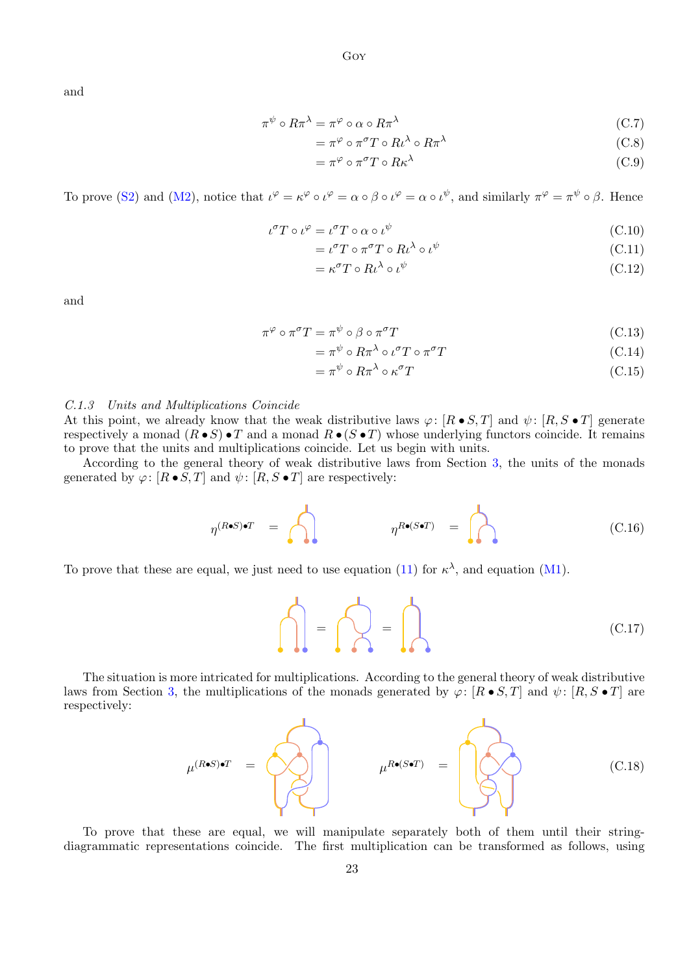and

$$
\pi^{\psi} \circ R\pi^{\lambda} = \pi^{\varphi} \circ \alpha \circ R\pi^{\lambda} \tag{C.7}
$$

$$
= \pi^{\varphi} \circ \pi^{\sigma} T \circ R \iota^{\lambda} \circ R \pi^{\lambda}
$$
 (C.8)

$$
= \pi^{\varphi} \circ \pi^{\sigma} T \circ R \kappa^{\lambda} \tag{C.9}
$$

To prove [\(S2\)](#page-21-1) and [\(M2\)](#page-21-1), notice that  $\iota^{\varphi} = \kappa^{\varphi} \circ \iota^{\varphi} = \alpha \circ \beta \circ \iota^{\varphi} = \alpha \circ \iota^{\psi}$ , and similarly  $\pi^{\varphi} = \pi^{\psi} \circ \beta$ . Hence

$$
\iota^{\sigma} T \circ \iota^{\varphi} = \iota^{\sigma} T \circ \alpha \circ \iota^{\psi} \tag{C.10}
$$

$$
= \iota^{\sigma} T \circ \pi^{\sigma} T \circ R \iota^{\lambda} \circ \iota^{\psi} \tag{C.11}
$$

$$
= \kappa^{\sigma} T \circ R \iota^{\lambda} \circ \iota^{\psi} \tag{C.12}
$$

and

$$
\pi^{\varphi} \circ \pi^{\sigma} T = \pi^{\psi} \circ \beta \circ \pi^{\sigma} T \tag{C.13}
$$

$$
= \pi^{\psi} \circ R\pi^{\lambda} \circ \iota^{\sigma} T \circ \pi^{\sigma} T \tag{C.14}
$$

$$
= \pi^{\psi} \circ R\pi^{\lambda} \circ \kappa^{\sigma} T \tag{C.15}
$$

#### C.1.3 Units and Multiplications Coincide

At this point, we already know that the weak distributive laws  $\varphi: [R \bullet S, T]$  and  $\psi: [R, S \bullet T]$  generate respectively a monad  $(R \bullet S) \bullet T$  and a monad  $R \bullet (S \bullet T)$  whose underlying functors coincide. It remains to prove that the units and multiplications coincide. Let us begin with units.

According to the general theory of weak distributive laws from Section [3,](#page-4-0) the units of the monads generated by  $\varphi: [R \bullet S, T]$  and  $\psi: [R, S \bullet T]$  are respectively:

$$
\eta^{(R \bullet S) \bullet T} = \bigcap_{\eta^{R \bullet (S \bullet T)}} \eta^{R \bullet (S \bullet T)} = \bigcap_{\eta^{R \bullet (S \bullet T)}} \eta^{R \bullet (S \bullet T)} \tag{C.16}
$$

To prove that these are equal, we just need to use equation [\(11\)](#page-5-2) for  $\kappa^{\lambda}$ , and equation [\(M1\)](#page-21-1).

 $\bigcap = \bigcap$ 

The situation is more intricated for multiplications. According to the general theory of weak distributive laws from Section [3,](#page-4-0) the multiplications of the monads generated by  $\varphi: [R \bullet S, T]$  and  $\psi: [R, S \bullet T]$  are respectively:

$$
\mu^{(R\bullet S)\bullet T} = \n\begin{bmatrix}\n\cdot & \cdot & \cdot & \cdot \\
\cdot & \cdot & \cdot & \cdot \\
\cdot & \cdot & \cdot & \cdot \\
\cdot & \cdot & \cdot & \cdot\n\end{bmatrix} \n\mu^{R\bullet (S\bullet T)} = \n\begin{bmatrix}\n\cdot & \cdot & \cdot & \cdot & \cdot \\
\cdot & \cdot & \cdot & \cdot & \cdot \\
\cdot & \cdot & \cdot & \cdot & \cdot \\
\cdot & \cdot & \cdot & \cdot & \cdot\n\end{bmatrix} \n\tag{C.18}
$$

To prove that these are equal, we will manipulate separately both of them until their stringdiagrammatic representations coincide. The first multiplication can be transformed as follows, using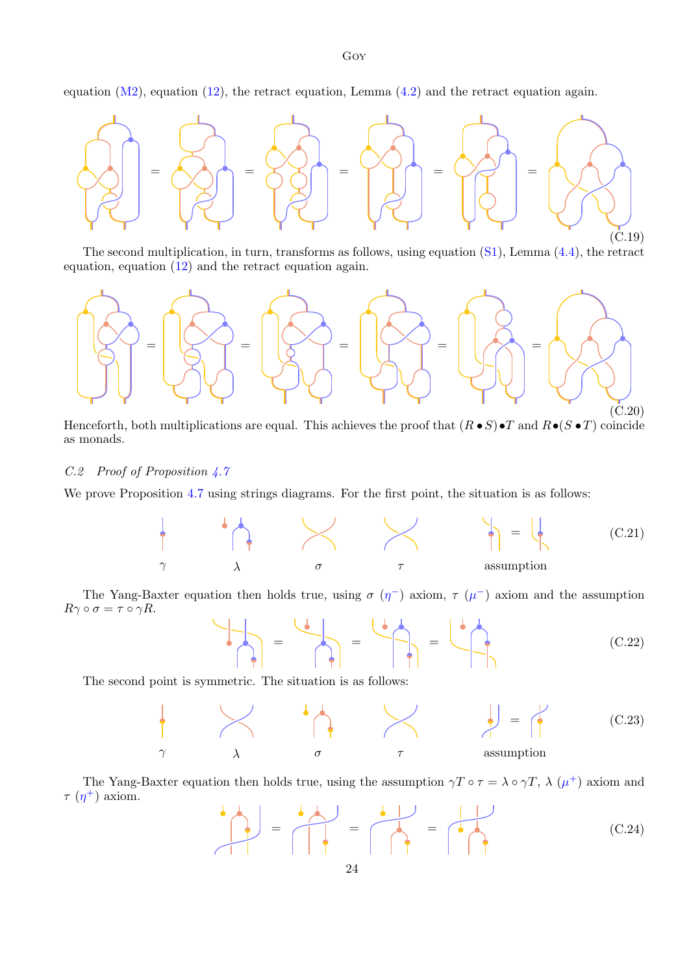equation  $(M2)$ , equation  $(12)$ , the retract equation, Lemma  $(4.2)$  and the retract equation again.



The second multiplication, in turn, transforms as follows, using equation [\(S1\)](#page-21-1), Lemma [\(4.4\)](#page-10-3), the retract equation, equation [\(12\)](#page-5-3) and the retract equation again.



Henceforth, both multiplications are equal. This achieves the proof that  $(R \bullet S) \bullet T$  and  $R \bullet (S \bullet T)$  coincide as monads.

## C.2 Proof of Proposition [4.7](#page-12-1)

We prove Proposition [4.7](#page-12-1) using strings diagrams. For the first point, the situation is as follows:



The Yang-Baxter equation then holds true, using  $\sigma(\eta^-)$  axiom,  $\tau(\mu^-)$  axiom and the assumption  $R\gamma \circ \sigma = \tau \circ \gamma R$ .

$$
\begin{pmatrix} 1 & 0 & 0 \\ 0 & 0 & 0 \end{pmatrix} = \begin{pmatrix} 1 & 0 & 0 \\ 0 & 0 & 0 \end{pmatrix} = \begin{pmatrix} 1 & 0 & 0 \\ 0 & 0 & 0 \end{pmatrix}
$$
 (C.22)

The second point is symmetric. The situation is as follows:



The Yang-Baxter equation then holds true, using the assumption  $\gamma T \circ \tau = \lambda \circ \gamma T$ ,  $\lambda (\mu^+)$  axiom and  $\tau$  ( $\eta$ <sup>+</sup>) axiom.

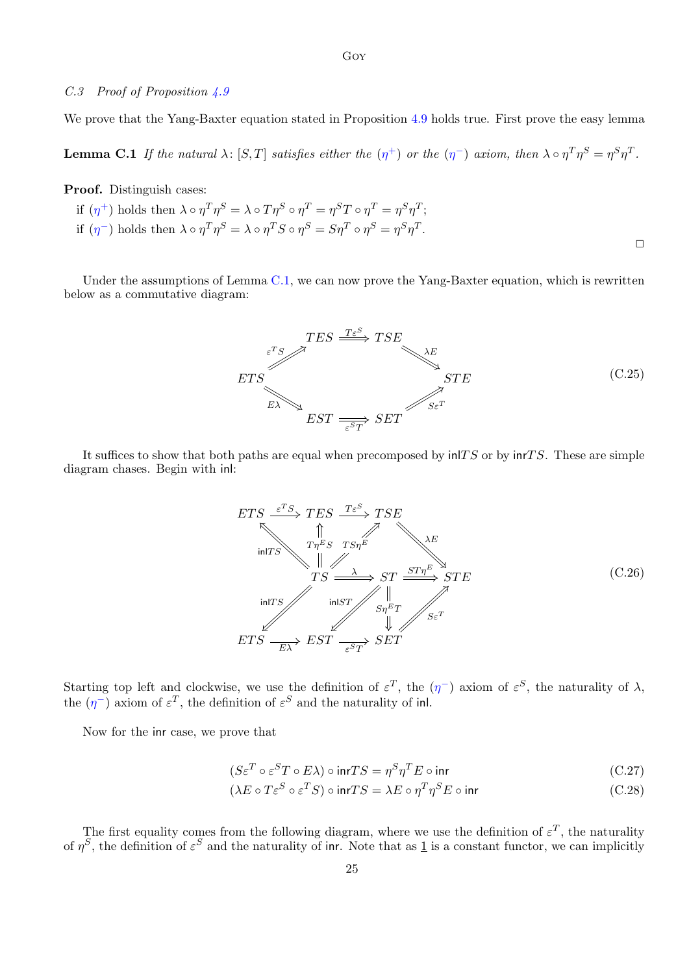## C.3 Proof of Proposition [4.9](#page-12-2)

We prove that the Yang-Baxter equation stated in Proposition [4.9](#page-12-2) holds true. First prove the easy lemma

<span id="page-24-0"></span>**Lemma C.1** If the natural  $\lambda$ :  $[S, T]$  satisfies either the  $(\eta^+)$  or the  $(\eta^-)$  axiom, then  $\lambda \circ \eta^T \eta^S = \eta^S \eta^T$ .

Proof. Distinguish cases:

if  $(\eta^+)$  holds then  $\lambda \circ \eta^T \eta^S = \lambda \circ T \eta^S \circ \eta^T = \eta^S T \circ \eta^T = \eta^S \eta^T;$ if  $(\eta^-)$  holds then  $\lambda \circ \eta^T \eta^S = \lambda \circ \eta^T S \circ \eta^S = S \eta^T \circ \eta^S = \eta^S \eta^T$ .  $\Box$ 

Under the assumptions of Lemma [C.1,](#page-24-0) we can now prove the Yang-Baxter equation, which is rewritten below as a commutative diagram:



It suffices to show that both paths are equal when precomposed by  $\text{in}T S$  or by  $\text{in}T S$ . These are simple diagram chases. Begin with inl:



Starting top left and clockwise, we use the definition of  $\varepsilon^T$ , the  $(\eta^-)$  axiom of  $\varepsilon^S$ , the naturality of  $\lambda$ , the  $(\eta^-)$  axiom of  $\varepsilon^T$ , the definition of  $\varepsilon^S$  and the naturality of inl.

Now for the inr case, we prove that

$$
(S\varepsilon^T \circ \varepsilon^S T \circ E\lambda) \circ \text{inr} TS = \eta^S \eta^T E \circ \text{inr}
$$
\n
$$
(C.27)
$$

<span id="page-24-2"></span><span id="page-24-1"></span>
$$
(\lambda E \circ T \varepsilon^{S} \circ \varepsilon^{T} S) \circ \text{inr} TS = \lambda E \circ \eta^{T} \eta^{S} E \circ \text{inr}
$$
\n
$$
(C.28)
$$

The first equality comes from the following diagram, where we use the definition of  $\varepsilon^T$ , the naturality of  $\eta^S$ , the definition of  $\varepsilon^S$  and the naturality of inr. Note that as 1 is a constant functor, we can implicitly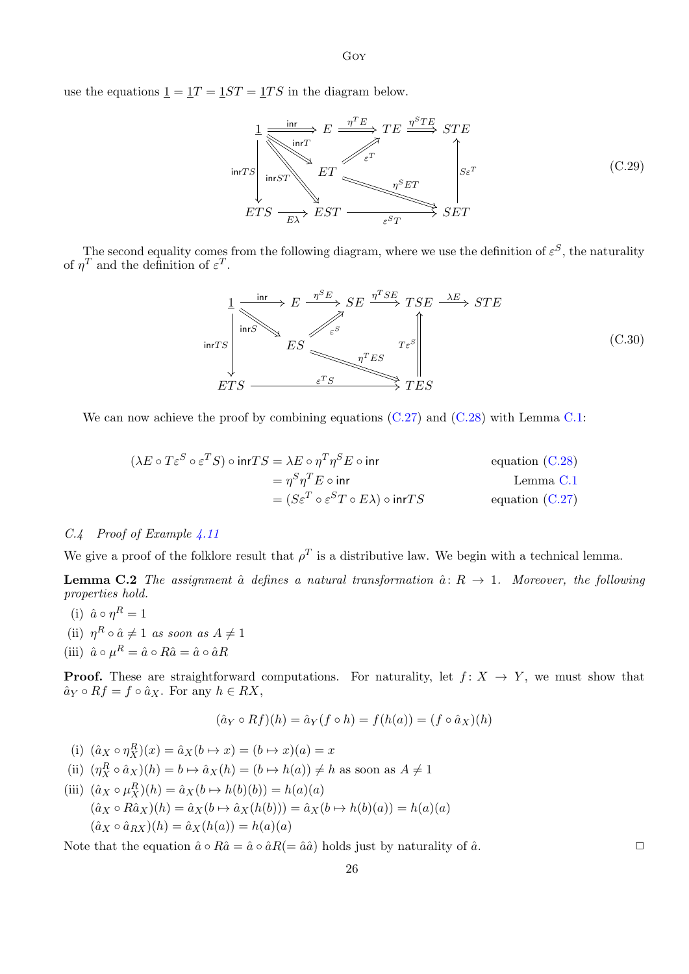use the equations  $\underline{1} = \underline{1}T = \underline{1}ST = \underline{1}TS$  in the diagram below.

$$
\frac{1}{\text{snr}\text{T}} \xrightarrow{\text{inr}\text{T}} E \xrightarrow{\eta^T E} TE \xrightarrow{\eta^S TE} STE
$$
\n
$$
\text{inr}\text{T} \xrightarrow{\text{inr}\text{T}} E T \xrightarrow{\varepsilon^T} \text{for } \text{inr}\text{T} \xrightarrow{\eta^S ET} \text{SET}
$$
\n
$$
ETS \xrightarrow{\text{Ex}} EST \xrightarrow{\varepsilon^S T} SET
$$
\n(C.29)

The second equality comes from the following diagram, where we use the definition of  $\varepsilon^S$ , the naturality of  $\eta^T$  and the definition of  $\varepsilon^T$ .

Goy

$$
\frac{1}{\text{snr}\,TS} \xrightarrow{\text{inr}\,S} E \xrightarrow{\eta^S E} SE \xrightarrow{\eta^T SE} TSE \xrightarrow{\Delta E} STE
$$
\n
$$
ES \xrightarrow{\eta^T ES} T^{\varepsilon S} \xrightarrow{\eta^T ES} TES
$$
\n(C.30)\n  
\n
$$
ETS \xrightarrow{\varepsilon^T S} TES
$$

We can now achieve the proof by combining equations  $(C.27)$  and  $(C.28)$  with Lemma [C.1:](#page-24-0)

$$
(\lambda E \circ T \varepsilon^{S} \circ \varepsilon^{T} S) \circ \text{inr} T S = \lambda E \circ \eta^{T} \eta^{S} E \circ \text{inr}
$$
 equation (C.28)  

$$
= \eta^{S} \eta^{T} E \circ \text{inr}
$$
 Lemma C.1  

$$
= (S \varepsilon^{T} \circ \varepsilon^{S} T \circ E \lambda) \circ \text{inr} T S
$$
 equation (C.27)

## C.4 Proof of Example [4.11](#page-12-3)

We give a proof of the folklore result that  $\rho^T$  is a distributive law. We begin with a technical lemma.

**Lemma C.2** The assignment  $\hat{a}$  defines a natural transformation  $\hat{a}$ :  $R \rightarrow 1$ . Moreover, the following properties hold.

- (i)  $\hat{a} \circ \eta^R = 1$
- (ii)  $\eta^R \circ \hat{a} \neq 1$  as soon as  $A \neq 1$
- (iii)  $\hat{a} \circ \mu^R = \hat{a} \circ R\hat{a} = \hat{a} \circ \hat{a}R$

**Proof.** These are straightforward computations. For naturality, let  $f: X \rightarrow Y$ , we must show that  $\hat{a}_Y \circ Rf = f \circ \hat{a}_X$ . For any  $h \in RX$ ,

$$
(\hat{a}_Y \circ Rf)(h) = \hat{a}_Y(f \circ h) = f(h(a)) = (f \circ \hat{a}_X)(h)
$$

(i) 
$$
(\hat{a}_X \circ \eta_X^R)(x) = \hat{a}_X(b \to x) = (b \to x)(a) = x
$$
  
\n(ii) 
$$
(\eta_X^R \circ \hat{a}_X)(h) = b \mapsto \hat{a}_X(h) = (b \mapsto h(a)) \neq h
$$
 as soon as  $A \neq 1$   
\n(iii) 
$$
(\hat{a}_X \circ \mu_X^R)(h) = \hat{a}_X(b \mapsto h(b)(b)) = h(a)(a)
$$
  
\n
$$
(\hat{a}_X \circ R\hat{a}_X)(h) = \hat{a}_X(b \mapsto \hat{a}_X(h(b))) = \hat{a}_X(b \mapsto h(b)(a)) = h(a)(a)
$$
  
\n
$$
(\hat{a}_X \circ \hat{a}_{RX})(h) = \hat{a}_X(h(a)) = h(a)(a)
$$

Note that the equation  $\hat{a} \circ R\hat{a} = \hat{a} \circ \hat{a}R(=\hat{a}\hat{a})$  holds just by naturality of  $\hat{a}$ .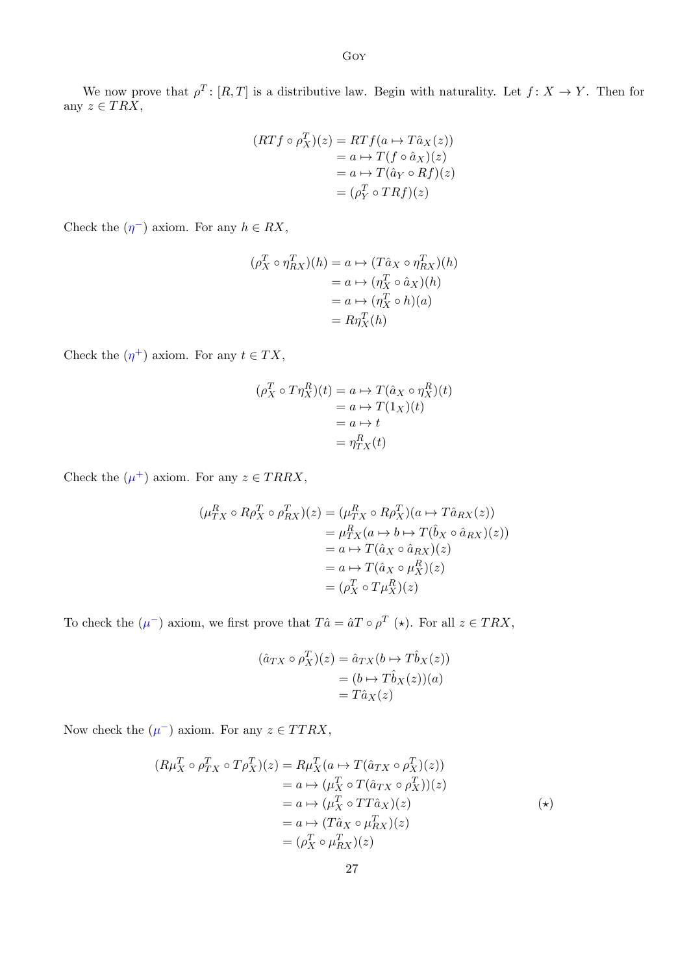We now prove that  $\rho^T$ :  $[R, T]$  is a distributive law. Begin with naturality. Let  $f: X \to Y$ . Then for any  $z \in TRX$ ,

$$
(RTf \circ \rho_X^T)(z) = RTf(a \to T\hat{a}_X(z))
$$
  
=  $a \to T(f \circ \hat{a}_X)(z)$   
=  $a \to T(\hat{a}_Y \circ Rf)(z)$   
=  $(\rho_Y^T \circ TRf)(z)$ 

Check the  $(\eta^-)$  axiom. For any  $h \in RX$ ,

$$
(\rho_X^T \circ \eta_{RX}^T)(h) = a \mapsto (T\hat{a}_X \circ \eta_{RX}^T)(h)
$$
  
=  $a \mapsto (\eta_X^T \circ \hat{a}_X)(h)$   
=  $a \mapsto (\eta_X^T \circ h)(a)$   
=  $R\eta_X^T(h)$ 

Check the  $(\eta^+)$  axiom. For any  $t \in TX$ ,

$$
(\rho_X^T \circ T\eta_X^R)(t) = a \mapsto T(\hat{a}_X \circ \eta_X^R)(t)
$$
  
=  $a \mapsto T(1_X)(t)$   
=  $a \mapsto t$   
=  $\eta_{TX}^R(t)$ 

Check the  $(\mu^+)$  axiom. For any  $z \in TRRX$ ,

$$
(\mu_{TX}^{R} \circ R\rho_{X}^{T} \circ \rho_{RX}^{T})(z) = (\mu_{TX}^{R} \circ R\rho_{X}^{T})(a \mapsto T\hat{a}_{RX}(z))
$$
  
\n
$$
= \mu_{TX}^{R}(a \mapsto b \mapsto T(\hat{b}_{X} \circ \hat{a}_{RX})(z))
$$
  
\n
$$
= a \mapsto T(\hat{a}_{X} \circ \hat{a}_{RX})(z)
$$
  
\n
$$
= a \mapsto T(\hat{a}_{X} \circ \mu_{X}^{R})(z)
$$
  
\n
$$
= (\rho_{X}^{T} \circ T\mu_{X}^{R})(z)
$$

To check the  $(\mu^-)$  axiom, we first prove that  $T\hat{a} = \hat{a}T \circ \rho^T (\star)$ . For all  $z \in TRX$ ,

$$
(\hat{a}_{TX} \circ \rho_X^T)(z) = \hat{a}_{TX}(b \mapsto T\hat{b}_X(z))
$$
  
=  $(b \mapsto T\hat{b}_X(z))(a)$   
=  $T\hat{a}_X(z)$ 

Now check the  $(\mu^-)$  axiom. For any  $z \in TTRX$ ,

$$
(R\mu_X^T \circ \rho_{TX}^T \circ T\rho_X^T)(z) = R\mu_X^T (a \mapsto T(\hat{a}_{TX} \circ \rho_X^T)(z))
$$
  
\n
$$
= a \mapsto (\mu_X^T \circ T(\hat{a}_{TX} \circ \rho_X^T))(z)
$$
  
\n
$$
= a \mapsto (\mu_X^T \circ T T \hat{a}_X)(z)
$$
  
\n
$$
= a \mapsto (T \hat{a}_X \circ \mu_{RX}^T)(z)
$$
  
\n
$$
= (\rho_X^T \circ \mu_{RX}^T)(z)
$$
  
\n
$$
(*)
$$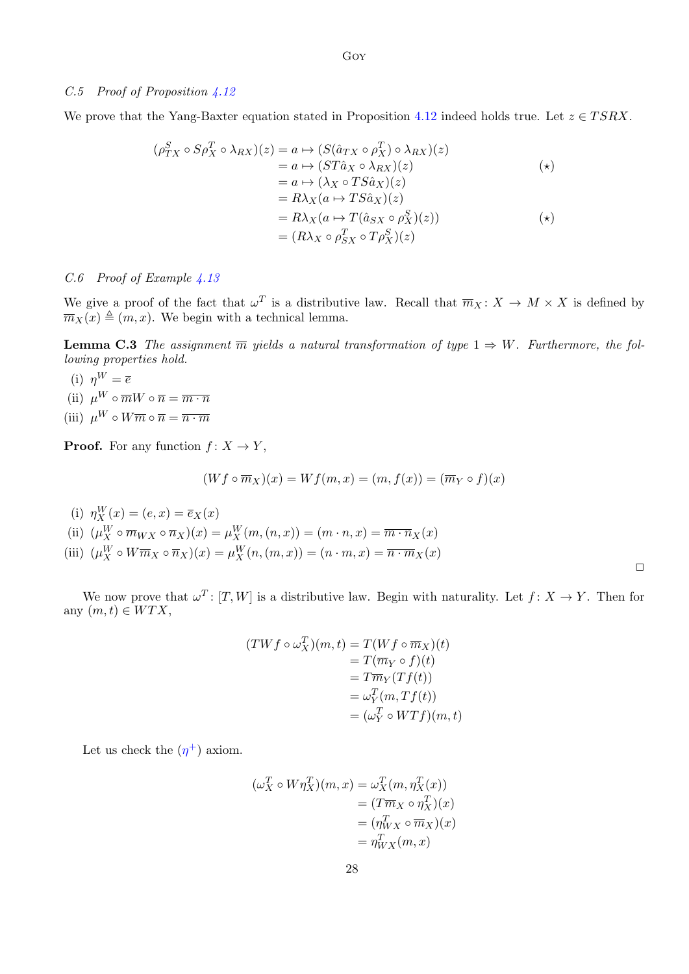## C.5 Proof of Proposition [4.12](#page-12-4)

We prove that the Yang-Baxter equation stated in Proposition [4.12](#page-12-4) indeed holds true. Let  $z \in TSRX$ .

$$
(\rho_{TX}^{S} \circ S \rho_{X}^{T} \circ \lambda_{RX})(z) = a \mapsto (S(\hat{a}_{TX} \circ \rho_{X}^{T}) \circ \lambda_{RX})(z)
$$
  
\n
$$
= a \mapsto (ST\hat{a}_{X} \circ \lambda_{RX})(z)
$$
  
\n
$$
= a \mapsto (\lambda_{X} \circ TS\hat{a}_{X})(z)
$$
  
\n
$$
= R\lambda_{X}(a \mapsto TS\hat{a}_{X})(z)
$$
  
\n
$$
= R\lambda_{X}(a \mapsto T(\hat{a}_{SX} \circ \rho_{X}^{S})(z))
$$
  
\n
$$
= (R\lambda_{X} \circ \rho_{SX}^{T} \circ T \rho_{X}^{S})(z)
$$
  
\n(\*)

## C.6 Proof of Example [4.13](#page-13-4)

We give a proof of the fact that  $\omega^T$  is a distributive law. Recall that  $\overline{m}_X \colon X \to M \times X$  is defined by  $\overline{m}_X(x) \triangleq (m, x)$ . We begin with a technical lemma.

**Lemma C.3** The assignment  $\overline{m}$  yields a natural transformation of type  $1 \Rightarrow W$ . Furthermore, the following properties hold.

(i)  $n^W = \overline{e}$ (ii)  $\mu^W \circ \overline{m} W \circ \overline{n} = \overline{m \cdot n}$ (iii)  $\mu^W \circ W \overline{m} \circ \overline{n} = \overline{n \cdot m}$ 

**Proof.** For any function  $f: X \to Y$ ,

$$
(Wf\circ\overline{m}_X)(x)=Wf(m,x)=(m,f(x))=(\overline{m}_Y\circ f)(x)
$$

(i)  $\eta_X^W(x) = (e, x) = \overline{e}_X(x)$ 

(ii)  $(\mu_X^W \circ \overline{m}_{WX} \circ \overline{n}_X)(x) = \mu_X^W(m,(n,x)) = (m \cdot n, x) = \overline{m \cdot n}_X(x)$ 

(iii)  $(\mu_X^W \circ W \overline{m}_X \circ \overline{n}_X)(x) = \mu_X^W(n, (m, x)) = (n \cdot m, x) = \overline{n \cdot m}_X(x)$ 

We now prove that  $\omega^T$ :  $[T, W]$  is a distributive law. Begin with naturality. Let  $f: X \to Y$ . Then for any  $(m, t) \in WTX$ ,

 $\Box$ 

$$
(TWf \circ \omega_X^T)(m, t) = T(Wf \circ \overline{m}_X)(t)
$$
  
=  $T(\overline{m}_Y \circ f)(t)$   
=  $T\overline{m}_Y(Tf(t))$   
=  $\omega_Y^T(m, Tf(t))$   
=  $(\omega_Y^T \circ WTf)(m, t)$ 

Let us check the  $(\eta^+)$  axiom.

$$
(\omega_X^T \circ W \eta_X^T)(m, x) = \omega_X^T(m, \eta_X^T(x))
$$
  
=  $(T \overline{m}_X \circ \eta_X^T)(x)$   
=  $(\eta_{WX}^T \circ \overline{m}_X)(x)$   
=  $\eta_{WX}^T(m, x)$